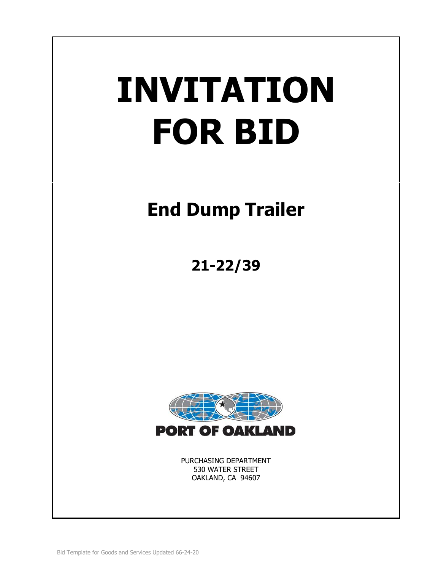# **INVITATION FOR BID**

# **End Dump Trailer**

**21-22/39**



PURCHASING DEPARTMENT 530 WATER STREET OAKLAND, CA 94607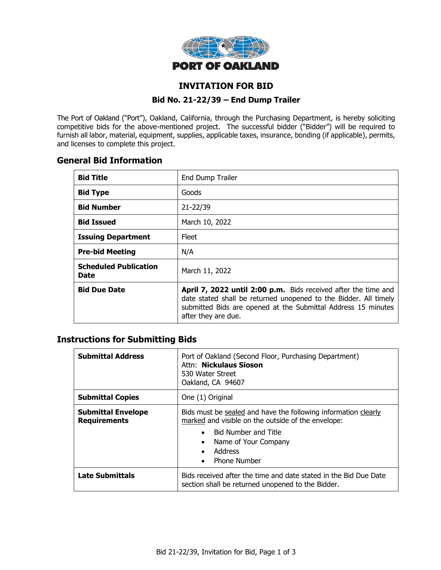

# **INVITATION FOR BID**

#### **Bid No. 21-22/39 – End Dump Trailer**

The Port of Oakland ("Port"), Oakland, California, through the Purchasing Department, is hereby soliciting competitive bids for the above-mentioned project. The successful bidder ("Bidder") will be required to furnish all labor, material, equipment, supplies, applicable taxes, insurance, bonding (if applicable), permits, and licenses to complete this project.

# **General Bid Information**

| <b>Bid Title</b>                     | End Dump Trailer                                                                                                                                                                                                           |
|--------------------------------------|----------------------------------------------------------------------------------------------------------------------------------------------------------------------------------------------------------------------------|
| <b>Bid Type</b>                      | Goods                                                                                                                                                                                                                      |
| <b>Bid Number</b>                    | 21-22/39                                                                                                                                                                                                                   |
| <b>Bid Issued</b>                    | March 10, 2022                                                                                                                                                                                                             |
| <b>Issuing Department</b>            | Fleet                                                                                                                                                                                                                      |
| <b>Pre-bid Meeting</b>               | N/A                                                                                                                                                                                                                        |
| <b>Scheduled Publication</b><br>Date | March 11, 2022                                                                                                                                                                                                             |
| <b>Bid Due Date</b>                  | April 7, 2022 until 2:00 p.m. Bids received after the time and<br>date stated shall be returned unopened to the Bidder. All timely<br>submitted Bids are opened at the Submittal Address 15 minutes<br>after they are due. |

# **Instructions for Submitting Bids**

| <b>Submittal Address</b>                         | Port of Oakland (Second Floor, Purchasing Department)<br>Attn: Nickulaus Sioson<br>530 Water Street<br>Oakland, CA 94607                                                                                                                                          |  |
|--------------------------------------------------|-------------------------------------------------------------------------------------------------------------------------------------------------------------------------------------------------------------------------------------------------------------------|--|
| <b>Submittal Copies</b>                          | One (1) Original                                                                                                                                                                                                                                                  |  |
| <b>Submittal Envelope</b><br><b>Requirements</b> | Bids must be sealed and have the following information clearly<br>marked and visible on the outside of the envelope:<br><b>Bid Number and Title</b><br>$\bullet$<br>Name of Your Company<br>$\bullet$<br>Address<br>$\bullet$<br><b>Phone Number</b><br>$\bullet$ |  |
| <b>Late Submittals</b>                           | Bids received after the time and date stated in the Bid Due Date<br>section shall be returned unopened to the Bidder.                                                                                                                                             |  |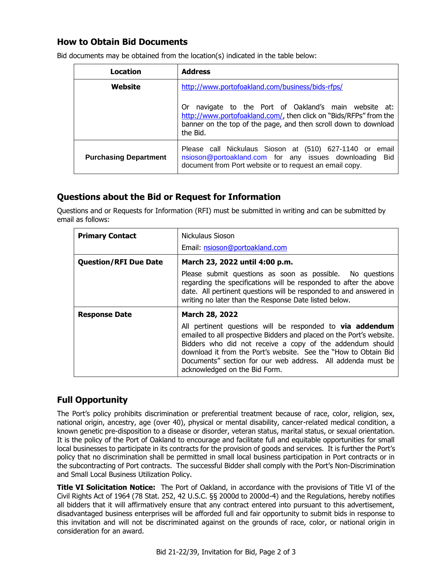# **How to Obtain Bid Documents**

| Location                     | <b>Address</b>                                                                                                                                                                                               |  |
|------------------------------|--------------------------------------------------------------------------------------------------------------------------------------------------------------------------------------------------------------|--|
| Website                      | http://www.portofoakland.com/business/bids-rfps/                                                                                                                                                             |  |
|                              | navigate to the Port of Oakland's main website at:<br>0r<br>http://www.portofoakland.com/, then click on "Bids/RFPs" from the<br>banner on the top of the page, and then scroll down to download<br>the Bid. |  |
| <b>Purchasing Department</b> | Please call Nickulaus Sioson at (510) 627-1140 or email<br>nsioson@portoakland.com for any issues downloading<br>Bid<br>document from Port website or to request an email copy.                              |  |

Bid documents may be obtained from the location(s) indicated in the table below:

# **Questions about the Bid or Request for Information**

Questions and or Requests for Information (RFI) must be submitted in writing and can be submitted by email as follows:

| <b>Primary Contact</b>       | Nickulaus Sioson                                                                                                                                                                                                                                                                                                                                                  |  |
|------------------------------|-------------------------------------------------------------------------------------------------------------------------------------------------------------------------------------------------------------------------------------------------------------------------------------------------------------------------------------------------------------------|--|
|                              | Email: nsioson@portoakland.com                                                                                                                                                                                                                                                                                                                                    |  |
| <b>Question/RFI Due Date</b> | March 23, 2022 until 4:00 p.m.                                                                                                                                                                                                                                                                                                                                    |  |
|                              | Please submit questions as soon as possible. No questions<br>regarding the specifications will be responded to after the above<br>date. All pertinent questions will be responded to and answered in<br>writing no later than the Response Date listed below.                                                                                                     |  |
| <b>Response Date</b>         | March 28, 2022                                                                                                                                                                                                                                                                                                                                                    |  |
|                              | All pertinent questions will be responded to via addendum<br>emailed to all prospective Bidders and placed on the Port's website.<br>Bidders who did not receive a copy of the addendum should<br>download it from the Port's website. See the "How to Obtain Bid<br>Documents" section for our web address. All addenda must be<br>acknowledged on the Bid Form. |  |

# **Full Opportunity**

The Port's policy prohibits discrimination or preferential treatment because of race, color, religion, sex, national origin, ancestry, age (over 40), physical or mental disability, cancer-related medical condition, a known genetic pre-disposition to a disease or disorder, veteran status, marital status, or sexual orientation. It is the policy of the Port of Oakland to encourage and facilitate full and equitable opportunities for small local businesses to participate in its contracts for the provision of goods and services. It is further the Port's policy that no discrimination shall be permitted in small local business participation in Port contracts or in the subcontracting of Port contracts. The successful Bidder shall comply with the Port's Non-Discrimination and Small Local Business Utilization Policy.

**Title VI Solicitation Notice:** The Port of Oakland, in accordance with the provisions of Title VI of the Civil Rights Act of 1964 (78 Stat. 252, 42 U.S.C. §§ 2000d to 2000d-4) and the Regulations, hereby notifies all bidders that it will affirmatively ensure that any contract entered into pursuant to this advertisement, disadvantaged business enterprises will be afforded full and fair opportunity to submit bids in response to this invitation and will not be discriminated against on the grounds of race, color, or national origin in consideration for an award.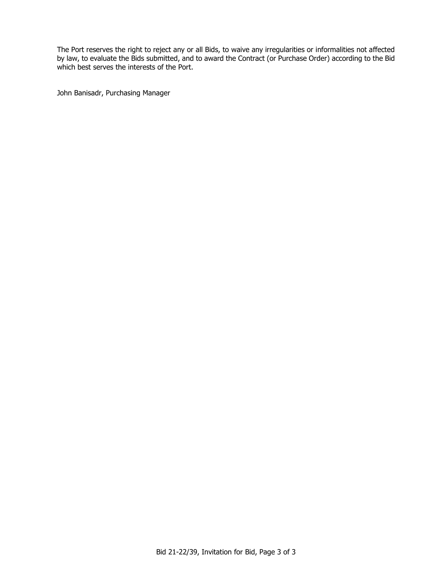The Port reserves the right to reject any or all Bids, to waive any irregularities or informalities not affected by law, to evaluate the Bids submitted, and to award the Contract (or Purchase Order) according to the Bid which best serves the interests of the Port.

John Banisadr, Purchasing Manager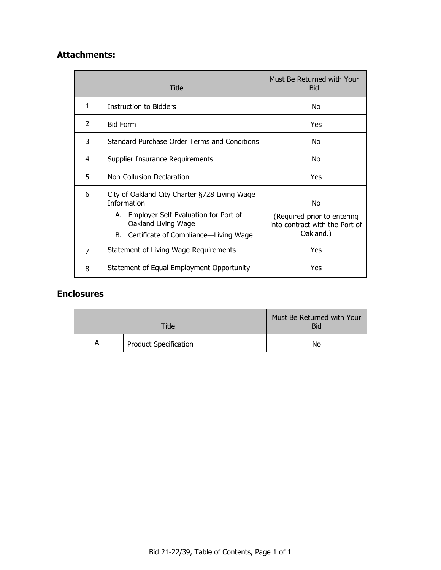# **Attachments:**

| Title |                                                                                                                | Must Be Returned with Your<br><b>Bid</b>    |
|-------|----------------------------------------------------------------------------------------------------------------|---------------------------------------------|
| 1     | Instruction to Bidders                                                                                         | No                                          |
| 2     | <b>Bid Form</b>                                                                                                | Yes                                         |
| 3     | Standard Purchase Order Terms and Conditions                                                                   | No                                          |
| 4     | Supplier Insurance Requirements                                                                                | No                                          |
| 5     | Non-Collusion Declaration                                                                                      | Yes                                         |
| 6     | City of Oakland City Charter §728 Living Wage<br><b>Information</b><br>A. Employer Self-Evaluation for Port of | No<br>(Required prior to entering           |
|       | Oakland Living Wage<br>B. Certificate of Compliance—Living Wage                                                | into contract with the Port of<br>Oakland.) |
| 7     | Statement of Living Wage Requirements                                                                          | Yes                                         |
| 8     | Statement of Equal Employment Opportunity                                                                      | Yes                                         |

# **Enclosures**

| <b>Title</b> |                              | Must Be Returned with Your<br><b>Bid</b> |
|--------------|------------------------------|------------------------------------------|
| A            | <b>Product Specification</b> | No                                       |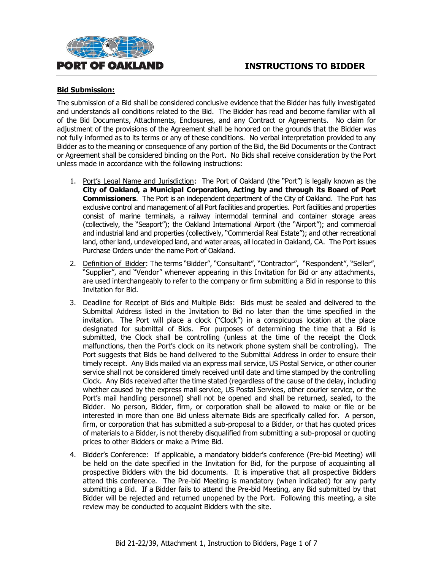



#### **Bid Submission:**

The submission of a Bid shall be considered conclusive evidence that the Bidder has fully investigated and understands all conditions related to the Bid. The Bidder has read and become familiar with all of the Bid Documents, Attachments, Enclosures, and any Contract or Agreements. No claim for adjustment of the provisions of the Agreement shall be honored on the grounds that the Bidder was not fully informed as to its terms or any of these conditions. No verbal interpretation provided to any Bidder as to the meaning or consequence of any portion of the Bid, the Bid Documents or the Contract or Agreement shall be considered binding on the Port. No Bids shall receive consideration by the Port unless made in accordance with the following instructions:

- 1. Port's Legal Name and Jurisdiction: The Port of Oakland (the "Port") is legally known as the **City of Oakland, a Municipal Corporation, Acting by and through its Board of Port Commissioners**. The Port is an independent department of the City of Oakland. The Port has exclusive control and management of all Port facilities and properties. Port facilities and properties consist of marine terminals, a railway intermodal terminal and container storage areas (collectively, the "Seaport"); the Oakland International Airport (the "Airport"); and commercial and industrial land and properties (collectively, "Commercial Real Estate"); and other recreational land, other land, undeveloped land, and water areas, all located in Oakland, CA. The Port issues Purchase Orders under the name Port of Oakland.
- 2. Definition of Bidder: The terms "Bidder", "Consultant", "Contractor", "Respondent", "Seller", "Supplier", and "Vendor" whenever appearing in this Invitation for Bid or any attachments, are used interchangeably to refer to the company or firm submitting a Bid in response to this Invitation for Bid.
- 3. Deadline for Receipt of Bids and Multiple Bids: Bids must be sealed and delivered to the Submittal Address listed in the Invitation to Bid no later than the time specified in the invitation. The Port will place a clock ("Clock") in a conspicuous location at the place designated for submittal of Bids. For purposes of determining the time that a Bid is submitted, the Clock shall be controlling (unless at the time of the receipt the Clock malfunctions, then the Port's clock on its network phone system shall be controlling). The Port suggests that Bids be hand delivered to the Submittal Address in order to ensure their timely receipt. Any Bids mailed via an express mail service, US Postal Service, or other courier service shall not be considered timely received until date and time stamped by the controlling Clock. Any Bids received after the time stated (regardless of the cause of the delay, including whether caused by the express mail service, US Postal Services, other courier service, or the Port's mail handling personnel) shall not be opened and shall be returned, sealed, to the Bidder. No person, Bidder, firm, or corporation shall be allowed to make or file or be interested in more than one Bid unless alternate Bids are specifically called for. A person, firm, or corporation that has submitted a sub-proposal to a Bidder, or that has quoted prices of materials to a Bidder, is not thereby disqualified from submitting a sub-proposal or quoting prices to other Bidders or make a Prime Bid.
- 4. Bidder's Conference: If applicable, a mandatory bidder's conference (Pre-bid Meeting) will be held on the date specified in the Invitation for Bid, for the purpose of acquainting all prospective Bidders with the bid documents. It is imperative that all prospective Bidders attend this conference. The Pre-bid Meeting is mandatory (when indicated) for any party submitting a Bid. If a Bidder fails to attend the Pre-bid Meeting, any Bid submitted by that Bidder will be rejected and returned unopened by the Port. Following this meeting, a site review may be conducted to acquaint Bidders with the site.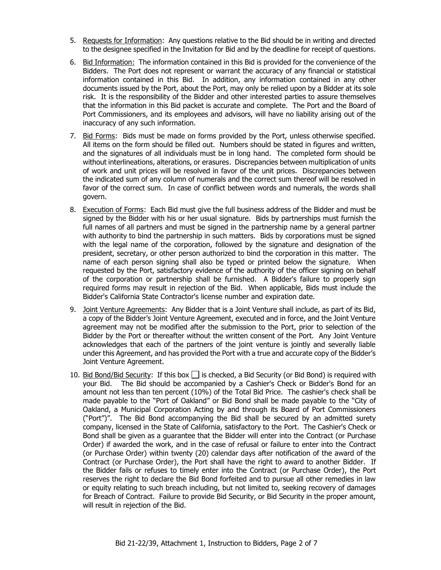- 5. Requests for Information: Any questions relative to the Bid should be in writing and directed to the designee specified in the Invitation for Bid and by the deadline for receipt of questions.
- 6. Bid Information: The information contained in this Bid is provided for the convenience of the Bidders. The Port does not represent or warrant the accuracy of any financial or statistical information contained in this Bid. In addition, any information contained in any other documents issued by the Port, about the Port, may only be relied upon by a Bidder at its sole risk. It is the responsibility of the Bidder and other interested parties to assure themselves that the information in this Bid packet is accurate and complete. The Port and the Board of Port Commissioners, and its employees and advisors, will have no liability arising out of the inaccuracy of any such information.
- 7. Bid Forms: Bids must be made on forms provided by the Port, unless otherwise specified. All items on the form should be filled out. Numbers should be stated in figures and written, and the signatures of all individuals must be in long hand. The completed form should be without interlineations, alterations, or erasures. Discrepancies between multiplication of units of work and unit prices will be resolved in favor of the unit prices. Discrepancies between the indicated sum of any column of numerals and the correct sum thereof will be resolved in favor of the correct sum. In case of conflict between words and numerals, the words shall govern.
- 8. Execution of Forms: Each Bid must give the full business address of the Bidder and must be signed by the Bidder with his or her usual signature. Bids by partnerships must furnish the full names of all partners and must be signed in the partnership name by a general partner with authority to bind the partnership in such matters. Bids by corporations must be signed with the legal name of the corporation, followed by the signature and designation of the president, secretary, or other person authorized to bind the corporation in this matter. The name of each person signing shall also be typed or printed below the signature. When requested by the Port, satisfactory evidence of the authority of the officer signing on behalf of the corporation or partnership shall be furnished. A Bidder's failure to properly sign required forms may result in rejection of the Bid. When applicable, Bids must include the Bidder's California State Contractor's license number and expiration date.
- 9. Joint Venture Agreements: Any Bidder that is a Joint Venture shall include, as part of its Bid, a copy of the Bidder's Joint Venture Agreement, executed and in force, and the Joint Venture agreement may not be modified after the submission to the Port, prior to selection of the Bidder by the Port or thereafter without the written consent of the Port. Any Joint Venture acknowledges that each of the partners of the joint venture is jointly and severally liable under this Agreement, and has provided the Port with a true and accurate copy of the Bidder's Joint Venture Agreement.
- 10. Bid Bond/Bid Security: If this box  $\Box$  is checked, a Bid Security (or Bid Bond) is required with your Bid. The Bid should be accompanied by a Cashier's Check or Bidder's Bond for an amount not less than ten percent (10%) of the Total Bid Price. The cashier's check shall be made payable to the "Port of Oakland" or Bid Bond shall be made payable to the "City of Oakland, a Municipal Corporation Acting by and through its Board of Port Commissioners ("Port")". The Bid Bond accompanying the Bid shall be secured by an admitted surety company, licensed in the State of California, satisfactory to the Port. The Cashier's Check or Bond shall be given as a guarantee that the Bidder will enter into the Contract (or Purchase Order) if awarded the work, and in the case of refusal or failure to enter into the Contract (or Purchase Order) within twenty (20) calendar days after notification of the award of the Contract (or Purchase Order), the Port shall have the right to award to another Bidder. If the Bidder fails or refuses to timely enter into the Contract (or Purchase Order), the Port reserves the right to declare the Bid Bond forfeited and to pursue all other remedies in law or equity relating to such breach including, but not limited to, seeking recovery of damages for Breach of Contract. Failure to provide Bid Security, or Bid Security in the proper amount, will result in rejection of the Bid.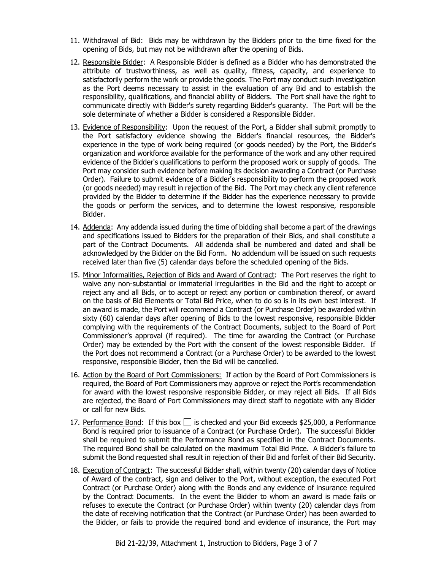- 11. Withdrawal of Bid: Bids may be withdrawn by the Bidders prior to the time fixed for the opening of Bids, but may not be withdrawn after the opening of Bids.
- 12. Responsible Bidder: A Responsible Bidder is defined as a Bidder who has demonstrated the attribute of trustworthiness, as well as quality, fitness, capacity, and experience to satisfactorily perform the work or provide the goods. The Port may conduct such investigation as the Port deems necessary to assist in the evaluation of any Bid and to establish the responsibility, qualifications, and financial ability of Bidders. The Port shall have the right to communicate directly with Bidder's surety regarding Bidder's guaranty. The Port will be the sole determinate of whether a Bidder is considered a Responsible Bidder.
- 13. Evidence of Responsibility: Upon the request of the Port, a Bidder shall submit promptly to the Port satisfactory evidence showing the Bidder's financial resources, the Bidder's experience in the type of work being required (or goods needed) by the Port, the Bidder's organization and workforce available for the performance of the work and any other required evidence of the Bidder's qualifications to perform the proposed work or supply of goods. The Port may consider such evidence before making its decision awarding a Contract (or Purchase Order). Failure to submit evidence of a Bidder's responsibility to perform the proposed work (or goods needed) may result in rejection of the Bid. The Port may check any client reference provided by the Bidder to determine if the Bidder has the experience necessary to provide the goods or perform the services, and to determine the lowest responsive, responsible Bidder.
- 14. Addenda: Any addenda issued during the time of bidding shall become a part of the drawings and specifications issued to Bidders for the preparation of their Bids, and shall constitute a part of the Contract Documents. All addenda shall be numbered and dated and shall be acknowledged by the Bidder on the Bid Form. No addendum will be issued on such requests received later than five (5) calendar days before the scheduled opening of the Bids.
- 15. Minor Informalities, Rejection of Bids and Award of Contract: The Port reserves the right to waive any non-substantial or immaterial irregularities in the Bid and the right to accept or reject any and all Bids, or to accept or reject any portion or combination thereof, or award on the basis of Bid Elements or Total Bid Price, when to do so is in its own best interest. If an award is made, the Port will recommend a Contract (or Purchase Order) be awarded within sixty (60) calendar days after opening of Bids to the lowest responsive, responsible Bidder complying with the requirements of the Contract Documents, subject to the Board of Port Commissioner's approval (if required). The time for awarding the Contract (or Purchase Order) may be extended by the Port with the consent of the lowest responsible Bidder. If the Port does not recommend a Contract (or a Purchase Order) to be awarded to the lowest responsive, responsible Bidder, then the Bid will be cancelled.
- 16. Action by the Board of Port Commissioners: If action by the Board of Port Commissioners is required, the Board of Port Commissioners may approve or reject the Port's recommendation for award with the lowest responsive responsible Bidder, or may reject all Bids. If all Bids are rejected, the Board of Port Commissioners may direct staff to negotiate with any Bidder or call for new Bids.
- 17. Performance Bond: If this box  $\Box$  is checked and your Bid exceeds \$25,000, a Performance Bond is required prior to issuance of a Contract (or Purchase Order). The successful Bidder shall be required to submit the Performance Bond as specified in the Contract Documents. The required Bond shall be calculated on the maximum Total Bid Price. A Bidder's failure to submit the Bond requested shall result in rejection of their Bid and forfeit of their Bid Security.
- 18. Execution of Contract: The successful Bidder shall, within twenty (20) calendar days of Notice of Award of the contract, sign and deliver to the Port, without exception, the executed Port Contract (or Purchase Order) along with the Bonds and any evidence of insurance required by the Contract Documents. In the event the Bidder to whom an award is made fails or refuses to execute the Contract (or Purchase Order) within twenty (20) calendar days from the date of receiving notification that the Contract (or Purchase Order) has been awarded to the Bidder, or fails to provide the required bond and evidence of insurance, the Port may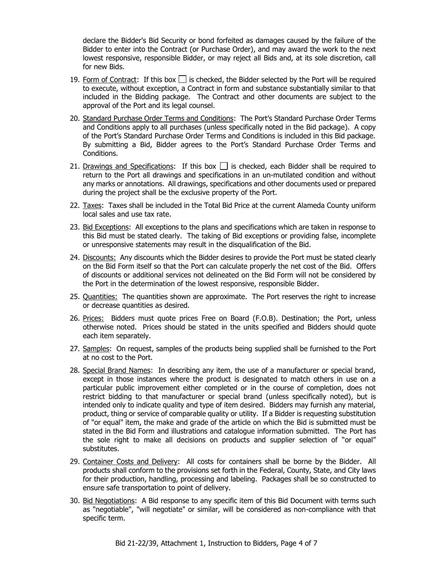declare the Bidder's Bid Security or bond forfeited as damages caused by the failure of the Bidder to enter into the Contract (or Purchase Order), and may award the work to the next lowest responsive, responsible Bidder, or may reject all Bids and, at its sole discretion, call for new Bids.

- 19. Form of Contract: If this box  $\Box$  is checked, the Bidder selected by the Port will be required to execute, without exception, a Contract in form and substance substantially similar to that included in the Bidding package. The Contract and other documents are subject to the approval of the Port and its legal counsel.
- 20. Standard Purchase Order Terms and Conditions: The Port's Standard Purchase Order Terms and Conditions apply to all purchases (unless specifically noted in the Bid package). A copy of the Port's Standard Purchase Order Terms and Conditions is included in this Bid package. By submitting a Bid, Bidder agrees to the Port's Standard Purchase Order Terms and Conditions.
- 21. Drawings and Specifications: If this box  $\Box$  is checked, each Bidder shall be required to return to the Port all drawings and specifications in an un-mutilated condition and without any marks or annotations. All drawings, specifications and other documents used or prepared during the project shall be the exclusive property of the Port.
- 22. Taxes: Taxes shall be included in the Total Bid Price at the current Alameda County uniform local sales and use tax rate.
- 23. Bid Exceptions: All exceptions to the plans and specifications which are taken in response to this Bid must be stated clearly. The taking of Bid exceptions or providing false, incomplete or unresponsive statements may result in the disqualification of the Bid.
- 24. Discounts: Any discounts which the Bidder desires to provide the Port must be stated clearly on the Bid Form itself so that the Port can calculate properly the net cost of the Bid. Offers of discounts or additional services not delineated on the Bid Form will not be considered by the Port in the determination of the lowest responsive, responsible Bidder.
- 25. Quantities: The quantities shown are approximate. The Port reserves the right to increase or decrease quantities as desired.
- 26. Prices: Bidders must quote prices Free on Board (F.O.B). Destination; the Port, unless otherwise noted. Prices should be stated in the units specified and Bidders should quote each item separately.
- 27. Samples: On request, samples of the products being supplied shall be furnished to the Port at no cost to the Port.
- 28. Special Brand Names: In describing any item, the use of a manufacturer or special brand, except in those instances where the product is designated to match others in use on a particular public improvement either completed or in the course of completion, does not restrict bidding to that manufacturer or special brand (unless specifically noted), but is intended only to indicate quality and type of item desired. Bidders may furnish any material, product, thing or service of comparable quality or utility. If a Bidder is requesting substitution of "or equal" item, the make and grade of the article on which the Bid is submitted must be stated in the Bid Form and illustrations and catalogue information submitted. The Port has the sole right to make all decisions on products and supplier selection of "or equal" substitutes.
- 29. Container Costs and Delivery: All costs for containers shall be borne by the Bidder. All products shall conform to the provisions set forth in the Federal, County, State, and City laws for their production, handling, processing and labeling. Packages shall be so constructed to ensure safe transportation to point of delivery.
- 30. Bid Negotiations: A Bid response to any specific item of this Bid Document with terms such as "negotiable", "will negotiate" or similar, will be considered as non-compliance with that specific term.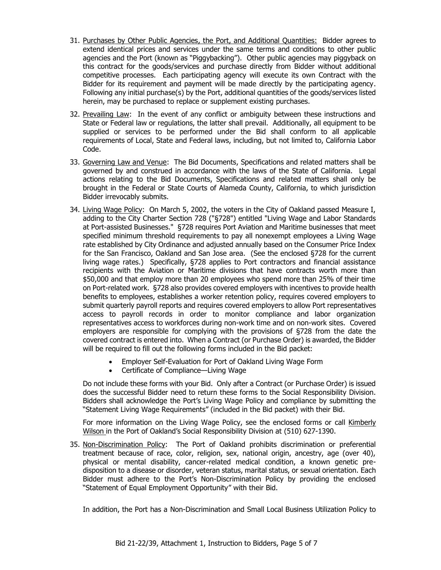- 31. Purchases by Other Public Agencies, the Port, and Additional Quantities: Bidder agrees to extend identical prices and services under the same terms and conditions to other public agencies and the Port (known as "Piggybacking"). Other public agencies may piggyback on this contract for the goods/services and purchase directly from Bidder without additional competitive processes. Each participating agency will execute its own Contract with the Bidder for its requirement and payment will be made directly by the participating agency. Following any initial purchase(s) by the Port, additional quantities of the goods/services listed herein, may be purchased to replace or supplement existing purchases.
- 32. Prevailing Law: In the event of any conflict or ambiguity between these instructions and State or Federal law or regulations, the latter shall prevail. Additionally, all equipment to be supplied or services to be performed under the Bid shall conform to all applicable requirements of Local, State and Federal laws, including, but not limited to, California Labor Code.
- 33. Governing Law and Venue: The Bid Documents, Specifications and related matters shall be governed by and construed in accordance with the laws of the State of California. Legal actions relating to the Bid Documents, Specifications and related matters shall only be brought in the Federal or State Courts of Alameda County, California, to which jurisdiction Bidder irrevocably submits.
- 34. Living Wage Policy: On March 5, 2002, the voters in the City of Oakland passed Measure I, adding to the City Charter Section 728 ("§728") entitled "Living Wage and Labor Standards at Port-assisted Businesses." §728 requires Port Aviation and Maritime businesses that meet specified minimum threshold requirements to pay all nonexempt employees a Living Wage rate established by City Ordinance and adjusted annually based on the Consumer Price Index for the San Francisco, Oakland and San Jose area. (See the enclosed §728 for the current living wage rates.) Specifically, §728 applies to Port contractors and financial assistance recipients with the Aviation or Maritime divisions that have contracts worth more than \$50,000 and that employ more than 20 employees who spend more than 25% of their time on Port-related work. §728 also provides covered employers with incentives to provide health benefits to employees, establishes a worker retention policy, requires covered employers to submit quarterly payroll reports and requires covered employers to allow Port representatives access to payroll records in order to monitor compliance and labor organization representatives access to workforces during non-work time and on non-work sites. Covered employers are responsible for complying with the provisions of §728 from the date the covered contract is entered into. When a Contract (or Purchase Order) is awarded, the Bidder will be required to fill out the following forms included in the Bid packet:
	- Employer Self-Evaluation for Port of Oakland Living Wage Form
	- Certificate of Compliance—Living Wage

Do not include these forms with your Bid. Only after a Contract (or Purchase Order) is issued does the successful Bidder need to return these forms to the Social Responsibility Division. Bidders shall acknowledge the Port's Living Wage Policy and compliance by submitting the "Statement Living Wage Requirements" (included in the Bid packet) with their Bid.

For more information on the Living Wage Policy, see the enclosed forms or call Kimberly Wilson in the Port of Oakland's Social Responsibility Division at (510) 627-1390.

35. Non-Discrimination Policy: The Port of Oakland prohibits discrimination or preferential treatment because of race, color, religion, sex, national origin, ancestry, age (over 40), physical or mental disability, cancer-related medical condition, a known genetic predisposition to a disease or disorder, veteran status, marital status, or sexual orientation. Each Bidder must adhere to the Port's Non-Discrimination Policy by providing the enclosed "Statement of Equal Employment Opportunity" with their Bid.

In addition, the Port has a Non-Discrimination and Small Local Business Utilization Policy to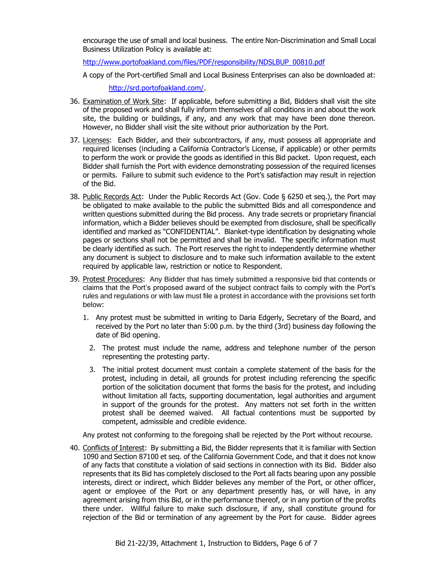encourage the use of small and local business. The entire Non-Discrimination and Small Local Business Utilization Policy is available at:

[http://www.portofoakland.com/files/PDF/responsibility/NDSLBUP\\_00810.pdf](http://www.portofoakland.com/files/PDF/responsibility/NDSLBUP_00810.pdf)

A copy of the Port-certified Small and Local Business Enterprises can also be downloaded at:

[http://srd.portofoakland.com/.](http://srd.portofoakland.com/)

- 36. Examination of Work Site: If applicable, before submitting a Bid, Bidders shall visit the site of the proposed work and shall fully inform themselves of all conditions in and about the work site, the building or buildings, if any, and any work that may have been done thereon. However, no Bidder shall visit the site without prior authorization by the Port.
- 37. Licenses: Each Bidder, and their subcontractors, if any, must possess all appropriate and required licenses (including a California Contractor's License, if applicable) or other permits to perform the work or provide the goods as identified in this Bid packet. Upon request, each Bidder shall furnish the Port with evidence demonstrating possession of the required licenses or permits. Failure to submit such evidence to the Port's satisfaction may result in rejection of the Bid.
- 38. Public Records Act: Under the Public Records Act (Gov. Code § 6250 et seq.), the Port may be obligated to make available to the public the submitted Bids and all correspondence and written questions submitted during the Bid process. Any trade secrets or proprietary financial information, which a Bidder believes should be exempted from disclosure, shall be specifically identified and marked as "CONFIDENTIAL". Blanket-type identification by designating whole pages or sections shall not be permitted and shall be invalid. The specific information must be clearly identified as such. The Port reserves the right to independently determine whether any document is subject to disclosure and to make such information available to the extent required by applicable law, restriction or notice to Respondent.
- 39. Protest Procedures:Any Bidder that has timely submitted a responsive bid that contends or claims that the Port's proposed award of the subject contract fails to comply with the Port's rules and regulations or with law must file a protest in accordance with the provisions set forth below:
	- 1. Any protest must be submitted in writing to Daria Edgerly, Secretary of the Board, and received by the Port no later than 5:00 p.m. by the third (3rd) business day following the date of Bid opening.
		- 2. The protest must include the name, address and telephone number of the person representing the protesting party.
		- 3. The initial protest document must contain a complete statement of the basis for the protest, including in detail, all grounds for protest including referencing the specific portion of the solicitation document that forms the basis for the protest, and including without limitation all facts, supporting documentation, legal authorities and argument in support of the grounds for the protest. Any matters not set forth in the written protest shall be deemed waived. All factual contentions must be supported by competent, admissible and credible evidence.

Any protest not conforming to the foregoing shall be rejected by the Port without recourse.

40. Conflicts of Interest: By submitting a Bid, the Bidder represents that it is familiar with Section 1090 and Section 87100 et seq. of the California Government Code, and that it does not know of any facts that constitute a violation of said sections in connection with its Bid. Bidder also represents that its Bid has completely disclosed to the Port all facts bearing upon any possible interests, direct or indirect, which Bidder believes any member of the Port, or other officer, agent or employee of the Port or any department presently has, or will have, in any agreement arising from this Bid, or in the performance thereof, or in any portion of the profits there under. Willful failure to make such disclosure, if any, shall constitute ground for rejection of the Bid or termination of any agreement by the Port for cause. Bidder agrees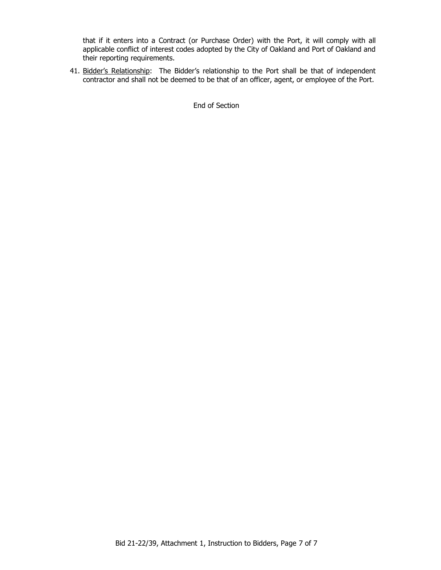that if it enters into a Contract (or Purchase Order) with the Port, it will comply with all applicable conflict of interest codes adopted by the City of Oakland and Port of Oakland and their reporting requirements.

41. Bidder's Relationship: The Bidder's relationship to the Port shall be that of independent contractor and shall not be deemed to be that of an officer, agent, or employee of the Port.

End of Section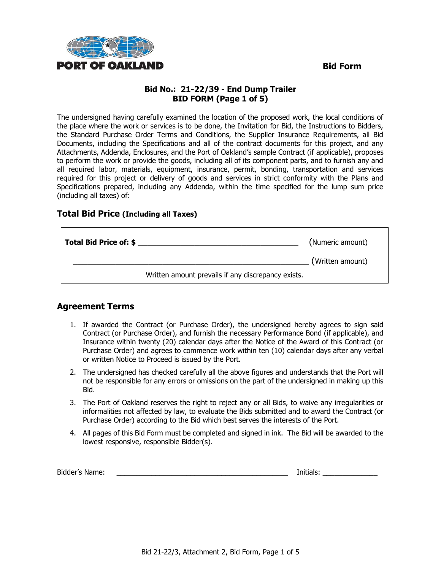

# **Bid No.: 21-22/39 - End Dump Trailer BID FORM (Page 1 of 5)**

The undersigned having carefully examined the location of the proposed work, the local conditions of the place where the work or services is to be done, the Invitation for Bid, the Instructions to Bidders, the Standard Purchase Order Terms and Conditions, the Supplier Insurance Requirements, all Bid Documents, including the Specifications and all of the contract documents for this project, and any Attachments, Addenda, Enclosures, and the Port of Oakland's sample Contract (if applicable), proposes to perform the work or provide the goods, including all of its component parts, and to furnish any and all required labor, materials, equipment, insurance, permit, bonding, transportation and services required for this project or delivery of goods and services in strict conformity with the Plans and Specifications prepared, including any Addenda, within the time specified for the lump sum price (including all taxes) of:

#### **Total Bid Price (Including all Taxes)**

| Total Bid Price of: \$ |                                                    | (Numeric amount) |
|------------------------|----------------------------------------------------|------------------|
|                        |                                                    | (Written amount) |
|                        | Written amount prevails if any discrepancy exists. |                  |

### **Agreement Terms**

- 1. If awarded the Contract (or Purchase Order), the undersigned hereby agrees to sign said Contract (or Purchase Order), and furnish the necessary Performance Bond (if applicable), and Insurance within twenty (20) calendar days after the Notice of the Award of this Contract (or Purchase Order) and agrees to commence work within ten (10) calendar days after any verbal or written Notice to Proceed is issued by the Port.
- 2. The undersigned has checked carefully all the above figures and understands that the Port will not be responsible for any errors or omissions on the part of the undersigned in making up this Bid.
- 3. The Port of Oakland reserves the right to reject any or all Bids, to waive any irregularities or informalities not affected by law, to evaluate the Bids submitted and to award the Contract (or Purchase Order) according to the Bid which best serves the interests of the Port.
- 4. All pages of this Bid Form must be completed and signed in ink. The Bid will be awarded to the lowest responsive, responsible Bidder(s).

| Bidder's Name: |  | .<br>nitiais |
|----------------|--|--------------|
|----------------|--|--------------|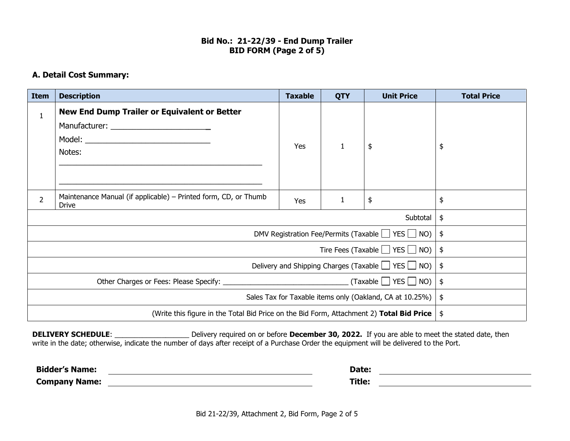#### **Bid No.: 21-22/39 - End Dump Trailer BID FORM (Page 2 of 5)**

# **A. Detail Cost Summary:**

| <b>Item</b>                                                  | <b>Description</b>                                                                       | <b>Taxable</b> | <b>QTY</b>    | <b>Unit Price</b> | <b>Total Price</b> |
|--------------------------------------------------------------|------------------------------------------------------------------------------------------|----------------|---------------|-------------------|--------------------|
| $\mathbf{1}$                                                 | <b>New End Dump Trailer or Equivalent or Better</b><br>Notes:                            | Yes            |               | \$                | \$                 |
| $\overline{2}$                                               | Maintenance Manual (if applicable) – Printed form, CD, or Thumb<br><b>Drive</b>          | Yes            | 1             | \$                | \$                 |
|                                                              |                                                                                          |                |               | Subtotal          | \$                 |
|                                                              | DMV Registration Fee/Permits (Taxable $\Box$ YES $\Box$ NO)                              |                |               | \$                |                    |
|                                                              | Tire Fees (Taxable $\Box$ YES $\Box$ NO)                                                 |                |               | $\frac{1}{2}$     |                    |
| Delivery and Shipping Charges (Taxable $\Box$ YES $\Box$ NO) |                                                                                          |                | $\frac{1}{2}$ |                   |                    |
| $\_$ (Taxable $\Box$ YES $\Box$ NO) $\_$                     |                                                                                          |                | $\frac{1}{2}$ |                   |                    |
| Sales Tax for Taxable items only (Oakland, CA at 10.25%)     |                                                                                          |                | $\frac{1}{2}$ |                   |                    |
|                                                              | (Write this figure in the Total Bid Price on the Bid Form, Attachment 2) Total Bid Price |                |               |                   | \$                 |

**DELIVERY SCHEDULE**: \_\_\_\_\_\_\_\_\_\_\_\_\_\_\_\_\_\_\_ Delivery required on or before **December 30, 2022.** If you are able to meet the stated date, then write in the date; otherwise, indicate the number of days after receipt of a Purchase Order the equipment will be delivered to the Port.

| <b>Bidder's Name:</b> | Date:  |  |
|-----------------------|--------|--|
| <b>Company Name:</b>  | Title: |  |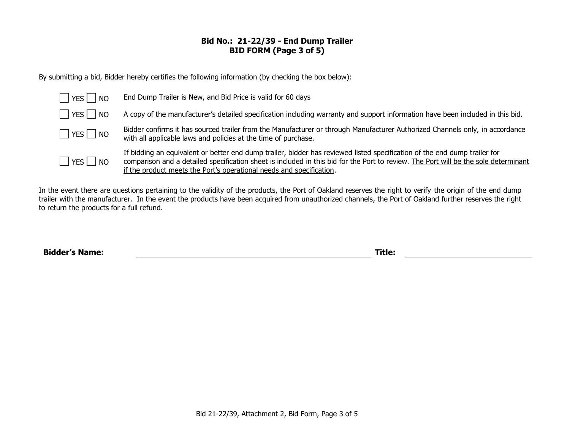#### **Bid No.: 21-22/39 - End Dump Trailer BID FORM (Page 3 of 5)**

By submitting a bid, Bidder hereby certifies the following information (by checking the box below):

| $ $ $ $ YES $ $ $ $ NO | End Dump Trailer is New, and Bid Price is valid for 60 days                                                                                                                                                                                                                                                                              |
|------------------------|------------------------------------------------------------------------------------------------------------------------------------------------------------------------------------------------------------------------------------------------------------------------------------------------------------------------------------------|
| $ $ $ $ YES $ $ $ $ NO | A copy of the manufacturer's detailed specification including warranty and support information have been included in this bid.                                                                                                                                                                                                           |
| $\Box$ YES $\Box$ NO   | Bidder confirms it has sourced trailer from the Manufacturer or through Manufacturer Authorized Channels only, in accordance<br>with all applicable laws and policies at the time of purchase.                                                                                                                                           |
| $ $ $ $ YES $ $ $ $ NO | If bidding an equivalent or better end dump trailer, bidder has reviewed listed specification of the end dump trailer for<br>comparison and a detailed specification sheet is included in this bid for the Port to review. The Port will be the sole determinant<br>if the product meets the Port's operational needs and specification. |

In the event there are questions pertaining to the validity of the products, the Port of Oakland reserves the right to verify the origin of the end dump trailer with the manufacturer. In the event the products have been acquired from unauthorized channels, the Port of Oakland further reserves the right to return the products for a full refund.

**Bidder's Name: Title:**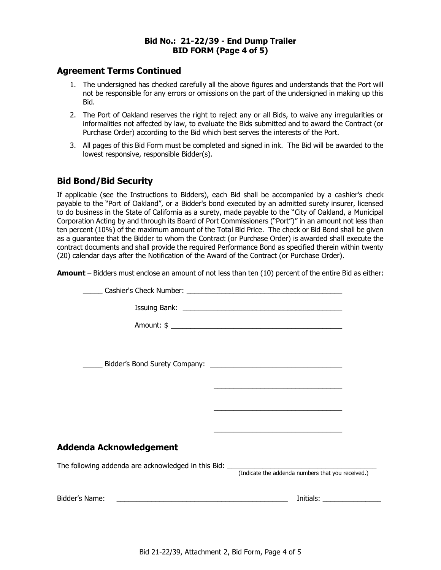#### **Bid No.: 21-22/39 - End Dump Trailer BID FORM (Page 4 of 5)**

#### **Agreement Terms Continued**

- 1. The undersigned has checked carefully all the above figures and understands that the Port will not be responsible for any errors or omissions on the part of the undersigned in making up this Bid.
- 2. The Port of Oakland reserves the right to reject any or all Bids, to waive any irregularities or informalities not affected by law, to evaluate the Bids submitted and to award the Contract (or Purchase Order) according to the Bid which best serves the interests of the Port.
- 3. All pages of this Bid Form must be completed and signed in ink. The Bid will be awarded to the lowest responsive, responsible Bidder(s).

# **Bid Bond/Bid Security**

If applicable (see the Instructions to Bidders), each Bid shall be accompanied by a cashier's check payable to the "Port of Oakland", or a Bidder's bond executed by an admitted surety insurer, licensed to do business in the State of California as a surety, made payable to the "City of Oakland, a Municipal Corporation Acting by and through its Board of Port Commissioners ("Port")" in an amount not less than ten percent (10%) of the maximum amount of the Total Bid Price. The check or Bid Bond shall be given as a guarantee that the Bidder to whom the Contract (or Purchase Order) is awarded shall execute the contract documents and shall provide the required Performance Bond as specified therein within twenty (20) calendar days after the Notification of the Award of the Contract (or Purchase Order).

**Amount** – Bidders must enclose an amount of not less than ten (10) percent of the entire Bid as either:

|                                                                                                                                        | <u> 1980 - Johann Stoff, die besteht is die Stoff von der Stoff von der Stoff von der Stoff von der Stoff von de</u> |
|----------------------------------------------------------------------------------------------------------------------------------------|----------------------------------------------------------------------------------------------------------------------|
|                                                                                                                                        |                                                                                                                      |
| Addenda Acknowledgement                                                                                                                |                                                                                                                      |
| The following addenda are acknowledged in this Bid: _____________________________<br>(Indicate the addenda numbers that you received.) |                                                                                                                      |
|                                                                                                                                        |                                                                                                                      |
|                                                                                                                                        |                                                                                                                      |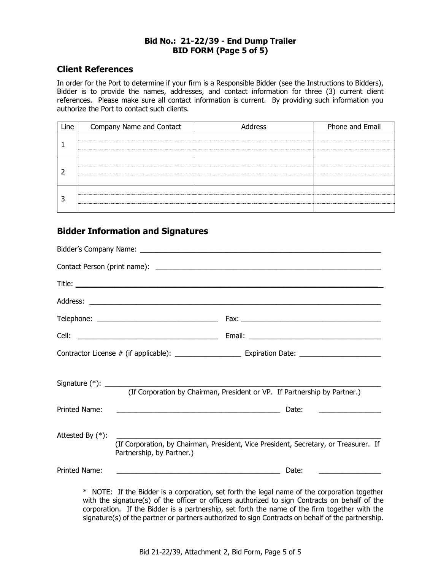#### **Bid No.: 21-22/39 - End Dump Trailer BID FORM (Page 5 of 5)**

#### **Client References**

In order for the Port to determine if your firm is a Responsible Bidder (see the Instructions to Bidders), Bidder is to provide the names, addresses, and contact information for three (3) current client references. Please make sure all contact information is current. By providing such information you authorize the Port to contact such clients.

| Line | Company Name and Contact | Address | Phone and Email |
|------|--------------------------|---------|-----------------|
|      |                          |         |                 |
|      |                          |         |                 |
|      |                          |         |                 |

# **Bidder Information and Signatures**

|                     | (If Corporation by Chairman, President or VP. If Partnership by Partner.)                                         |  |                                                    |
|---------------------|-------------------------------------------------------------------------------------------------------------------|--|----------------------------------------------------|
| Printed Name:       |                                                                                                                   |  |                                                    |
| Attested By $(*)$ : | (If Corporation, by Chairman, President, Vice President, Secretary, or Treasurer. If<br>Partnership, by Partner.) |  |                                                    |
| Printed Name:       |                                                                                                                   |  | Date:<br><u> 1980 - Jan Barat, prima politik (</u> |
|                     | * NOTE: If the Bidder is a corporation, set forth the legal name of the corporation together                      |  |                                                    |

with the signature(s) of the officer or officers authorized to sign Contracts on behalf of the corporation. If the Bidder is a partnership, set forth the name of the firm together with the signature(s) of the partner or partners authorized to sign Contracts on behalf of the partnership.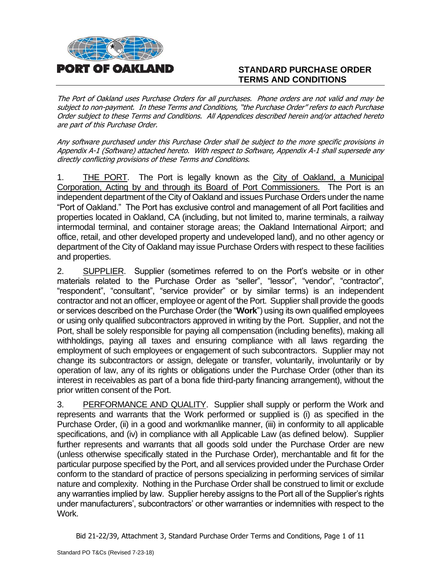

# **STANDARD PURCHASE ORDER TERMS AND CONDITIONS**

The Port of Oakland uses Purchase Orders for all purchases. Phone orders are not valid and may be subject to non-payment. In these Terms and Conditions, "the Purchase Order" refers to each Purchase Order subject to these Terms and Conditions. All Appendices described herein and/or attached hereto are part of this Purchase Order.

Any software purchased under this Purchase Order shall be subject to the more specific provisions in Appendix A-1 (Software) attached hereto. With respect to Software, Appendix A-1 shall supersede any directly conflicting provisions of these Terms and Conditions.

1. THE PORT. The Port is legally known as the City of Oakland, a Municipal Corporation, Acting by and through its Board of Port Commissioners. The Port is an independent department of the City of Oakland and issues Purchase Orders under the name "Port of Oakland." The Port has exclusive control and management of all Port facilities and properties located in Oakland, CA (including, but not limited to, marine terminals, a railway intermodal terminal, and container storage areas; the Oakland International Airport; and office, retail, and other developed property and undeveloped land), and no other agency or department of the City of Oakland may issue Purchase Orders with respect to these facilities and properties.

2. SUPPLIER. Supplier (sometimes referred to on the Port's website or in other materials related to the Purchase Order as "seller", "lessor", "vendor", "contractor", "respondent", "consultant", "service provider" or by similar terms) is an independent contractor and not an officer, employee or agent of the Port. Supplier shall provide the goods or services described on the Purchase Order (the "**Work**") using its own qualified employees or using only qualified subcontractors approved in writing by the Port. Supplier, and not the Port, shall be solely responsible for paying all compensation (including benefits), making all withholdings, paying all taxes and ensuring compliance with all laws regarding the employment of such employees or engagement of such subcontractors. Supplier may not change its subcontractors or assign, delegate or transfer, voluntarily, involuntarily or by operation of law, any of its rights or obligations under the Purchase Order (other than its interest in receivables as part of a bona fide third-party financing arrangement), without the prior written consent of the Port.

3. PERFORMANCE AND QUALITY. Supplier shall supply or perform the Work and represents and warrants that the Work performed or supplied is (i) as specified in the Purchase Order, (ii) in a good and workmanlike manner, (iii) in conformity to all applicable specifications, and (iv) in compliance with all Applicable Law (as defined below). Supplier further represents and warrants that all goods sold under the Purchase Order are new (unless otherwise specifically stated in the Purchase Order), merchantable and fit for the particular purpose specified by the Port, and all services provided under the Purchase Order conform to the standard of practice of persons specializing in performing services of similar nature and complexity. Nothing in the Purchase Order shall be construed to limit or exclude any warranties implied by law. Supplier hereby assigns to the Port all of the Supplier's rights under manufacturers', subcontractors' or other warranties or indemnities with respect to the Work.

Bid 21-22/39, Attachment 3, Standard Purchase Order Terms and Conditions, Page 1 of 11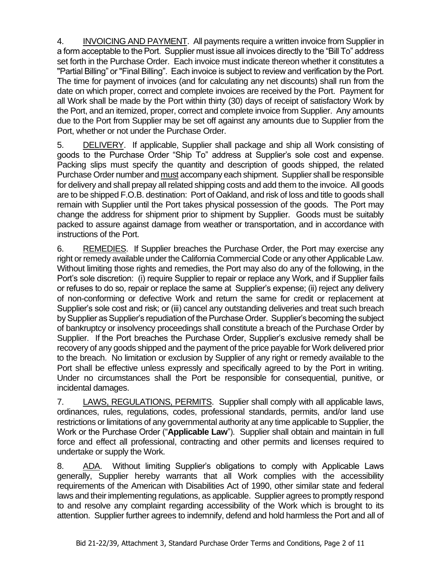4. INVOICING AND PAYMENT. All payments require a written invoice from Supplier in a form acceptable to the Port. Supplier must issue all invoices directly to the "Bill To" address set forth in the Purchase Order. Each invoice must indicate thereon whether it constitutes a "Partial Billing" or "Final Billing". Each invoice is subject to review and verification by the Port. The time for payment of invoices (and for calculating any net discounts) shall run from the date on which proper, correct and complete invoices are received by the Port. Payment for all Work shall be made by the Port within thirty (30) days of receipt of satisfactory Work by the Port, and an itemized, proper, correct and complete invoice from Supplier. Any amounts due to the Port from Supplier may be set off against any amounts due to Supplier from the Port, whether or not under the Purchase Order.

5. DELIVERY. If applicable, Supplier shall package and ship all Work consisting of goods to the Purchase Order "Ship To" address at Supplier's sole cost and expense. Packing slips must specify the quantity and description of goods shipped, the related Purchase Order number and must accompany each shipment. Supplier shall be responsible for delivery and shall prepay all related shipping costs and add them to the invoice. All goods are to be shipped F.O.B. destination: Port of Oakland, and risk of loss and title to goods shall remain with Supplier until the Port takes physical possession of the goods. The Port may change the address for shipment prior to shipment by Supplier. Goods must be suitably packed to assure against damage from weather or transportation, and in accordance with instructions of the Port.

6. REMEDIES. If Supplier breaches the Purchase Order, the Port may exercise any right or remedy available under the California Commercial Code or any other Applicable Law. Without limiting those rights and remedies, the Port may also do any of the following, in the Port's sole discretion: (i) require Supplier to repair or replace any Work, and if Supplier fails or refuses to do so, repair or replace the same at Supplier's expense; (ii) reject any delivery of non-conforming or defective Work and return the same for credit or replacement at Supplier's sole cost and risk; or (iii) cancel any outstanding deliveries and treat such breach by Supplier as Supplier's repudiation of the Purchase Order. Supplier's becoming the subject of bankruptcy or insolvency proceedings shall constitute a breach of the Purchase Order by Supplier. If the Port breaches the Purchase Order, Supplier's exclusive remedy shall be recovery of any goods shipped and the payment of the price payable for Work delivered prior to the breach. No limitation or exclusion by Supplier of any right or remedy available to the Port shall be effective unless expressly and specifically agreed to by the Port in writing. Under no circumstances shall the Port be responsible for consequential, punitive, or incidental damages.

7. LAWS, REGULATIONS, PERMITS. Supplier shall comply with all applicable laws, ordinances, rules, regulations, codes, professional standards, permits, and/or land use restrictions or limitations of any governmental authority at any time applicable to Supplier, the Work or the Purchase Order ("**Applicable Law**"). Supplier shall obtain and maintain in full force and effect all professional, contracting and other permits and licenses required to undertake or supply the Work.

8. ADA. Without limiting Supplier's obligations to comply with Applicable Laws generally, Supplier hereby warrants that all Work complies with the accessibility requirements of the American with Disabilities Act of 1990, other similar state and federal laws and their implementing regulations, as applicable. Supplier agrees to promptly respond to and resolve any complaint regarding accessibility of the Work which is brought to its attention. Supplier further agrees to indemnify, defend and hold harmless the Port and all of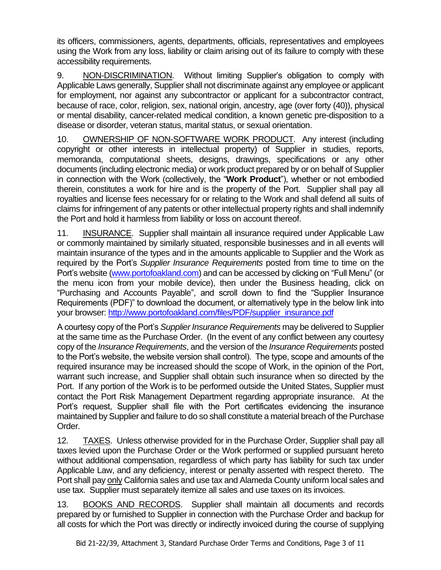its officers, commissioners, agents, departments, officials, representatives and employees using the Work from any loss, liability or claim arising out of its failure to comply with these accessibility requirements.

9. NON-DISCRIMINATION. Without limiting Supplier's obligation to comply with Applicable Laws generally, Supplier shall not discriminate against any employee or applicant for employment, nor against any subcontractor or applicant for a subcontractor contract, because of race, color, religion, sex, national origin, ancestry, age (over forty (40)), physical or mental disability, cancer-related medical condition, a known genetic pre-disposition to a disease or disorder, veteran status, marital status, or sexual orientation.

10. OWNERSHIP OF NON-SOFTWARE WORK PRODUCT. Any interest (including copyright or other interests in intellectual property) of Supplier in studies, reports, memoranda, computational sheets, designs, drawings, specifications or any other documents (including electronic media) or work product prepared by or on behalf of Supplier in connection with the Work (collectively, the "**Work Product**"), whether or not embodied therein, constitutes a work for hire and is the property of the Port. Supplier shall pay all royalties and license fees necessary for or relating to the Work and shall defend all suits of claims for infringement of any patents or other intellectual property rights and shall indemnify the Port and hold it harmless from liability or loss on account thereof.

11. INSURANCE. Supplier shall maintain all insurance required under Applicable Law or commonly maintained by similarly situated, responsible businesses and in all events will maintain insurance of the types and in the amounts applicable to Supplier and the Work as required by the Port's *Supplier Insurance Requirements* posted from time to time on the Port's website [\(www.portofoakland.com\)](http://www.portofoakland.com/) and can be accessed by clicking on "Full Menu" (or the menu icon from your mobile device), then under the Business heading, click on "Purchasing and Accounts Payable", and scroll down to find the "Supplier Insurance Requirements (PDF)" to download the document, or alternatively type in the below link into your browser: [http://www.portofoakland.com/files/PDF/supplier\\_insurance.pdf](http://www.portofoakland.com/files/PDF/supplier_insurance.pdf)

A courtesy copy of the Port's *Supplier Insurance Requirements* may be delivered to Supplier at the same time as the Purchase Order. (In the event of any conflict between any courtesy copy of the *Insurance Requirements*, and the version of the *Insurance Requirements* posted to the Port's website, the website version shall control). The type, scope and amounts of the required insurance may be increased should the scope of Work, in the opinion of the Port, warrant such increase, and Supplier shall obtain such insurance when so directed by the Port. If any portion of the Work is to be performed outside the United States, Supplier must contact the Port Risk Management Department regarding appropriate insurance. At the Port's request, Supplier shall file with the Port certificates evidencing the insurance maintained by Supplier and failure to do so shall constitute a material breach of the Purchase Order.

12. TAXES. Unless otherwise provided for in the Purchase Order, Supplier shall pay all taxes levied upon the Purchase Order or the Work performed or supplied pursuant hereto without additional compensation, regardless of which party has liability for such tax under Applicable Law, and any deficiency, interest or penalty asserted with respect thereto. The Port shall pay only California sales and use tax and Alameda County uniform local sales and use tax. Supplier must separately itemize all sales and use taxes on its invoices.

13. BOOKS AND RECORDS. Supplier shall maintain all documents and records prepared by or furnished to Supplier in connection with the Purchase Order and backup for all costs for which the Port was directly or indirectly invoiced during the course of supplying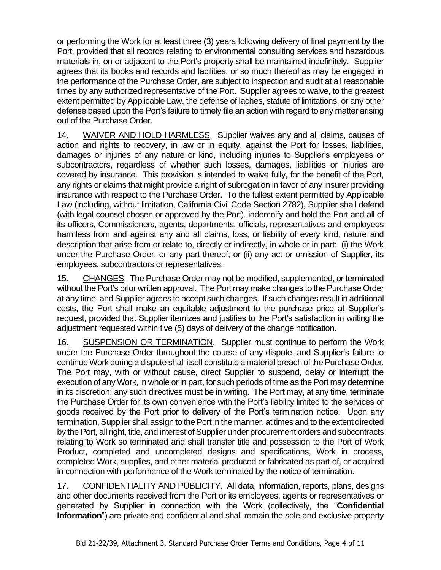or performing the Work for at least three (3) years following delivery of final payment by the Port, provided that all records relating to environmental consulting services and hazardous materials in, on or adjacent to the Port's property shall be maintained indefinitely. Supplier agrees that its books and records and facilities, or so much thereof as may be engaged in the performance of the Purchase Order, are subject to inspection and audit at all reasonable times by any authorized representative of the Port. Supplier agrees to waive, to the greatest extent permitted by Applicable Law, the defense of laches, statute of limitations, or any other defense based upon the Port's failure to timely file an action with regard to any matter arising out of the Purchase Order.

14. WAIVER AND HOLD HARMLESS. Supplier waives any and all claims, causes of action and rights to recovery, in law or in equity, against the Port for losses, liabilities, damages or injuries of any nature or kind, including injuries to Supplier's employees or subcontractors, regardless of whether such losses, damages, liabilities or injuries are covered by insurance. This provision is intended to waive fully, for the benefit of the Port, any rights or claims that might provide a right of subrogation in favor of any insurer providing insurance with respect to the Purchase Order. To the fullest extent permitted by Applicable Law (including, without limitation, California Civil Code Section 2782), Supplier shall defend (with legal counsel chosen or approved by the Port), indemnify and hold the Port and all of its officers, Commissioners, agents, departments, officials, representatives and employees harmless from and against any and all claims, loss, or liability of every kind, nature and description that arise from or relate to, directly or indirectly, in whole or in part: (i) the Work under the Purchase Order, or any part thereof; or (ii) any act or omission of Supplier, its employees, subcontractors or representatives.

15. CHANGES. The Purchase Order may not be modified, supplemented, or terminated without the Port's prior written approval. The Port may make changes to the Purchase Order at any time, and Supplier agrees to accept such changes. If such changes result in additional costs, the Port shall make an equitable adjustment to the purchase price at Supplier's request, provided that Supplier itemizes and justifies to the Port's satisfaction in writing the adjustment requested within five (5) days of delivery of the change notification.

16. SUSPENSION OR TERMINATION. Supplier must continue to perform the Work under the Purchase Order throughout the course of any dispute, and Supplier's failure to continue Work during a dispute shall itself constitute a material breach of the Purchase Order. The Port may, with or without cause, direct Supplier to suspend, delay or interrupt the execution of any Work, in whole or in part, for such periods of time as the Port may determine in its discretion; any such directives must be in writing. The Port may, at any time, terminate the Purchase Order for its own convenience with the Port's liability limited to the services or goods received by the Port prior to delivery of the Port's termination notice. Upon any termination, Supplier shall assign to the Port in the manner, at times and to the extent directed by the Port, all right, title, and interest of Supplier under procurement orders and subcontracts relating to Work so terminated and shall transfer title and possession to the Port of Work Product, completed and uncompleted designs and specifications, Work in process, completed Work, supplies, and other material produced or fabricated as part of, or acquired in connection with performance of the Work terminated by the notice of termination.

17. CONFIDENTIALITY AND PUBLICITY. All data, information, reports, plans, designs and other documents received from the Port or its employees, agents or representatives or generated by Supplier in connection with the Work (collectively, the "**Confidential Information**") are private and confidential and shall remain the sole and exclusive property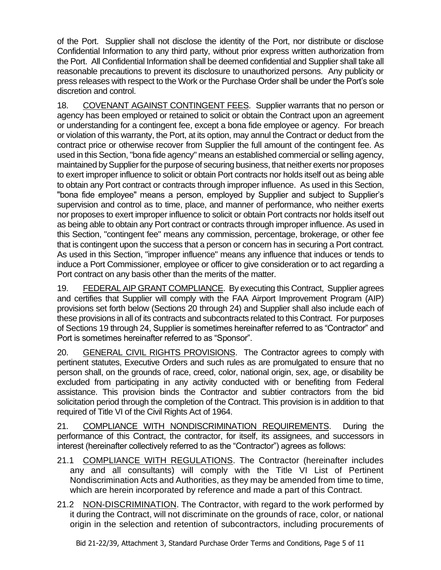of the Port. Supplier shall not disclose the identity of the Port, nor distribute or disclose Confidential Information to any third party, without prior express written authorization from the Port. All Confidential Information shall be deemed confidential and Supplier shall take all reasonable precautions to prevent its disclosure to unauthorized persons. Any publicity or press releases with respect to the Work or the Purchase Order shall be under the Port's sole discretion and control.

18. COVENANT AGAINST CONTINGENT FEES. Supplier warrants that no person or agency has been employed or retained to solicit or obtain the Contract upon an agreement or understanding for a contingent fee, except a bona fide employee or agency. For breach or violation of this warranty, the Port, at its option, may annul the Contract or deduct from the contract price or otherwise recover from Supplier the full amount of the contingent fee. As used in this Section, "bona fide agency" means an established commercial or selling agency, maintained by Supplier for the purpose of securing business, that neither exerts nor proposes to exert improper influence to solicit or obtain Port contracts nor holds itself out as being able to obtain any Port contract or contracts through improper influence. As used in this Section, "bona fide employee" means a person, employed by Supplier and subject to Supplier's supervision and control as to time, place, and manner of performance, who neither exerts nor proposes to exert improper influence to solicit or obtain Port contracts nor holds itself out as being able to obtain any Port contract or contracts through improper influence. As used in this Section, "contingent fee" means any commission, percentage, brokerage, or other fee that is contingent upon the success that a person or concern has in securing a Port contract. As used in this Section, "improper influence" means any influence that induces or tends to induce a Port Commissioner, employee or officer to give consideration or to act regarding a Port contract on any basis other than the merits of the matter.

19. FEDERAL AIP GRANT COMPLIANCE. By executing this Contract, Supplier agrees and certifies that Supplier will comply with the FAA Airport Improvement Program (AIP) provisions set forth below (Sections 20 through 24) and Supplier shall also include each of these provisions in all of its contracts and subcontracts related to this Contract. For purposes of Sections 19 through 24, Supplier is sometimes hereinafter referred to as "Contractor" and Port is sometimes hereinafter referred to as "Sponsor".

20. GENERAL CIVIL RIGHTS PROVISIONS.The Contractor agrees to comply with pertinent statutes, Executive Orders and such rules as are promulgated to ensure that no person shall, on the grounds of race, creed, color, national origin, sex, age, or disability be excluded from participating in any activity conducted with or benefiting from Federal assistance. This provision binds the Contractor and subtier contractors from the bid solicitation period through the completion of the Contract. This provision is in addition to that required of Title VI of the Civil Rights Act of 1964.

21. COMPLIANCE WITH NONDISCRIMINATION REQUIREMENTS. During the performance of this Contract, the contractor, for itself, its assignees, and successors in interest (hereinafter collectively referred to as the "Contractor") agrees as follows:

- 21.1 COMPLIANCE WITH REGULATIONS. The Contractor (hereinafter includes any and all consultants) will comply with the Title VI List of Pertinent Nondiscrimination Acts and Authorities, as they may be amended from time to time, which are herein incorporated by reference and made a part of this Contract.
- 21.2 NON-DISCRIMINATION. The Contractor, with regard to the work performed by it during the Contract, will not discriminate on the grounds of race, color, or national origin in the selection and retention of subcontractors, including procurements of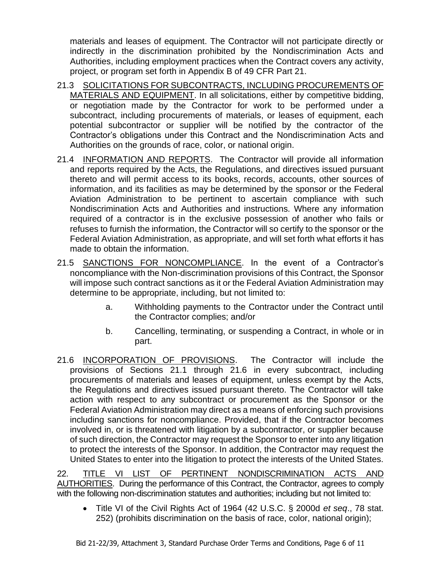materials and leases of equipment. The Contractor will not participate directly or indirectly in the discrimination prohibited by the Nondiscrimination Acts and Authorities, including employment practices when the Contract covers any activity, project, or program set forth in Appendix B of 49 CFR Part 21.

- 21.3 SOLICITATIONS FOR SUBCONTRACTS, INCLUDING PROCUREMENTS OF MATERIALS AND EQUIPMENT. In all solicitations, either by competitive bidding, or negotiation made by the Contractor for work to be performed under a subcontract, including procurements of materials, or leases of equipment, each potential subcontractor or supplier will be notified by the contractor of the Contractor's obligations under this Contract and the Nondiscrimination Acts and Authorities on the grounds of race, color, or national origin.
- 21.4 INFORMATION AND REPORTS. The Contractor will provide all information and reports required by the Acts, the Regulations, and directives issued pursuant thereto and will permit access to its books, records, accounts, other sources of information, and its facilities as may be determined by the sponsor or the Federal Aviation Administration to be pertinent to ascertain compliance with such Nondiscrimination Acts and Authorities and instructions. Where any information required of a contractor is in the exclusive possession of another who fails or refuses to furnish the information, the Contractor will so certify to the sponsor or the Federal Aviation Administration, as appropriate, and will set forth what efforts it has made to obtain the information.
- 21.5 SANCTIONS FOR NONCOMPLIANCE. In the event of a Contractor's noncompliance with the Non-discrimination provisions of this Contract, the Sponsor will impose such contract sanctions as it or the Federal Aviation Administration may determine to be appropriate, including, but not limited to:
	- a. Withholding payments to the Contractor under the Contract until the Contractor complies; and/or
	- b. Cancelling, terminating, or suspending a Contract, in whole or in part.
- 21.6 INCORPORATION OF PROVISIONS.The Contractor will include the provisions of Sections 21.1 through 21.6 in every subcontract, including procurements of materials and leases of equipment, unless exempt by the Acts, the Regulations and directives issued pursuant thereto. The Contractor will take action with respect to any subcontract or procurement as the Sponsor or the Federal Aviation Administration may direct as a means of enforcing such provisions including sanctions for noncompliance. Provided, that if the Contractor becomes involved in, or is threatened with litigation by a subcontractor, or supplier because of such direction, the Contractor may request the Sponsor to enter into any litigation to protect the interests of the Sponsor. In addition, the Contractor may request the United States to enter into the litigation to protect the interests of the United States.

22. TITLE VI LIST OF PERTINENT NONDISCRIMINATION ACTS AND AUTHORITIES. During the performance of this Contract, the Contractor, agrees to comply with the following non-discrimination statutes and authorities; including but not limited to:

• Title VI of the Civil Rights Act of 1964 (42 U.S.C. § 2000d *et seq*., 78 stat. 252) (prohibits discrimination on the basis of race, color, national origin);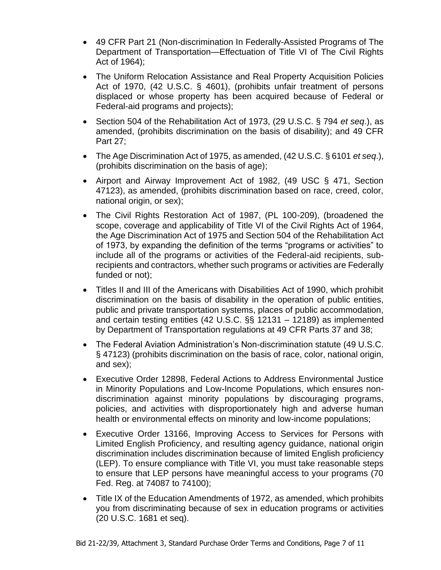- 49 CFR Part 21 (Non-discrimination In Federally-Assisted Programs of The Department of Transportation—Effectuation of Title VI of The Civil Rights Act of 1964);
- The Uniform Relocation Assistance and Real Property Acquisition Policies Act of 1970, (42 U.S.C. § 4601), (prohibits unfair treatment of persons displaced or whose property has been acquired because of Federal or Federal-aid programs and projects);
- Section 504 of the Rehabilitation Act of 1973, (29 U.S.C. § 794 *et seq*.), as amended, (prohibits discrimination on the basis of disability); and 49 CFR Part 27;
- The Age Discrimination Act of 1975, as amended, (42 U.S.C. § 6101 *et seq*.), (prohibits discrimination on the basis of age);
- Airport and Airway Improvement Act of 1982, (49 USC § 471, Section 47123), as amended, (prohibits discrimination based on race, creed, color, national origin, or sex);
- The Civil Rights Restoration Act of 1987, (PL 100-209), (broadened the scope, coverage and applicability of Title VI of the Civil Rights Act of 1964, the Age Discrimination Act of 1975 and Section 504 of the Rehabilitation Act of 1973, by expanding the definition of the terms "programs or activities" to include all of the programs or activities of the Federal-aid recipients, subrecipients and contractors, whether such programs or activities are Federally funded or not);
- Titles II and III of the Americans with Disabilities Act of 1990, which prohibit discrimination on the basis of disability in the operation of public entities, public and private transportation systems, places of public accommodation, and certain testing entities (42 U.S.C. §§ 12131 – 12189) as implemented by Department of Transportation regulations at 49 CFR Parts 37 and 38;
- The Federal Aviation Administration's Non-discrimination statute (49 U.S.C. § 47123) (prohibits discrimination on the basis of race, color, national origin, and sex);
- Executive Order 12898, Federal Actions to Address Environmental Justice in Minority Populations and Low-Income Populations, which ensures nondiscrimination against minority populations by discouraging programs, policies, and activities with disproportionately high and adverse human health or environmental effects on minority and low-income populations;
- Executive Order 13166, Improving Access to Services for Persons with Limited English Proficiency, and resulting agency guidance, national origin discrimination includes discrimination because of limited English proficiency (LEP). To ensure compliance with Title VI, you must take reasonable steps to ensure that LEP persons have meaningful access to your programs (70 Fed. Reg. at 74087 to 74100);
- Title IX of the Education Amendments of 1972, as amended, which prohibits you from discriminating because of sex in education programs or activities (20 U.S.C. 1681 et seq).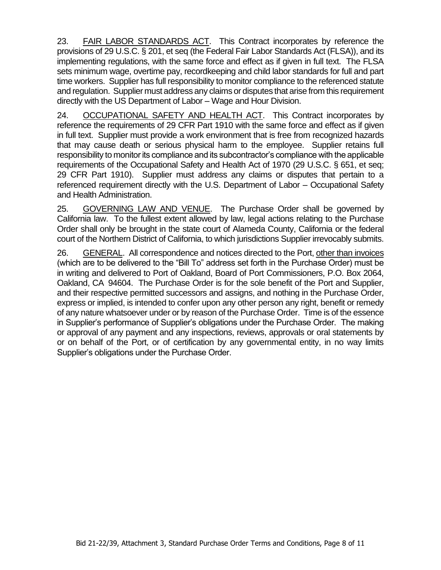23. FAIR LABOR STANDARDS ACT. This Contract incorporates by reference the provisions of 29 U.S.C. § 201, et seq (the Federal Fair Labor Standards Act (FLSA)), and its implementing regulations, with the same force and effect as if given in full text. The FLSA sets minimum wage, overtime pay, recordkeeping and child labor standards for full and part time workers. Supplier has full responsibility to monitor compliance to the referenced statute and regulation. Supplier must address any claims or disputes that arise from this requirement directly with the US Department of Labor – Wage and Hour Division.

24. OCCUPATIONAL SAFETY AND HEALTH ACT.This Contract incorporates by reference the requirements of 29 CFR Part 1910 with the same force and effect as if given in full text. Supplier must provide a work environment that is free from recognized hazards that may cause death or serious physical harm to the employee. Supplier retains full responsibility to monitor its compliance and its subcontractor's compliance with the applicable requirements of the Occupational Safety and Health Act of 1970 (29 U.S.C. § 651, et seq; 29 CFR Part 1910). Supplier must address any claims or disputes that pertain to a referenced requirement directly with the U.S. Department of Labor – Occupational Safety and Health Administration.

25. GOVERNING LAW AND VENUE. The Purchase Order shall be governed by California law. To the fullest extent allowed by law, legal actions relating to the Purchase Order shall only be brought in the state court of Alameda County, California or the federal court of the Northern District of California, to which jurisdictions Supplier irrevocably submits.

26. GENERAL. All correspondence and notices directed to the Port, other than invoices (which are to be delivered to the "Bill To" address set forth in the Purchase Order) must be in writing and delivered to Port of Oakland, Board of Port Commissioners, P.O. Box 2064, Oakland, CA 94604. The Purchase Order is for the sole benefit of the Port and Supplier, and their respective permitted successors and assigns, and nothing in the Purchase Order, express or implied, is intended to confer upon any other person any right, benefit or remedy of any nature whatsoever under or by reason of the Purchase Order. Time is of the essence in Supplier's performance of Supplier's obligations under the Purchase Order. The making or approval of any payment and any inspections, reviews, approvals or oral statements by or on behalf of the Port, or of certification by any governmental entity, in no way limits Supplier's obligations under the Purchase Order.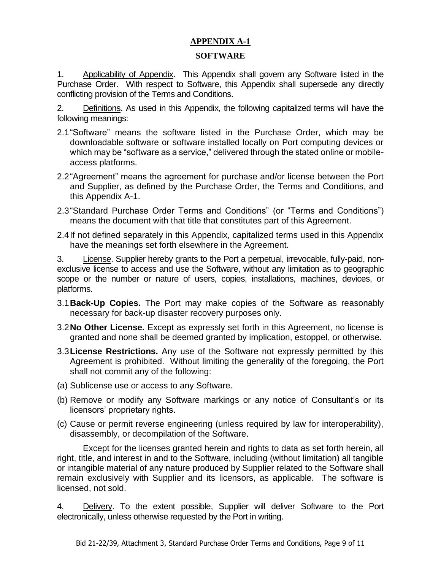# **APPENDIX A-1**

#### **SOFTWARE**

1. Applicability of Appendix. This Appendix shall govern any Software listed in the Purchase Order. With respect to Software, this Appendix shall supersede any directly conflicting provision of the Terms and Conditions.

2. Definitions. As used in this Appendix, the following capitalized terms will have the following meanings:

- 2.1"Software" means the software listed in the Purchase Order, which may be downloadable software or software installed locally on Port computing devices or which may be "software as a service," delivered through the stated online or mobileaccess platforms.
- 2.2"Agreement" means the agreement for purchase and/or license between the Port and Supplier, as defined by the Purchase Order, the Terms and Conditions, and this Appendix A-1.
- 2.3"Standard Purchase Order Terms and Conditions" (or "Terms and Conditions") means the document with that title that constitutes part of this Agreement.
- 2.4If not defined separately in this Appendix, capitalized terms used in this Appendix have the meanings set forth elsewhere in the Agreement.

3. License. Supplier hereby grants to the Port a perpetual, irrevocable, fully-paid, nonexclusive license to access and use the Software, without any limitation as to geographic scope or the number or nature of users, copies, installations, machines, devices, or platforms.

- 3.1**Back-Up Copies.** The Port may make copies of the Software as reasonably necessary for back-up disaster recovery purposes only.
- 3.2**No Other License.** Except as expressly set forth in this Agreement, no license is granted and none shall be deemed granted by implication, estoppel, or otherwise.
- 3.3**License Restrictions.** Any use of the Software not expressly permitted by this Agreement is prohibited. Without limiting the generality of the foregoing, the Port shall not commit any of the following:
- (a) Sublicense use or access to any Software.
- (b) Remove or modify any Software markings or any notice of Consultant's or its licensors' proprietary rights.
- (c) Cause or permit reverse engineering (unless required by law for interoperability), disassembly, or decompilation of the Software.

Except for the licenses granted herein and rights to data as set forth herein, all right, title, and interest in and to the Software, including (without limitation) all tangible or intangible material of any nature produced by Supplier related to the Software shall remain exclusively with Supplier and its licensors, as applicable. The software is licensed, not sold.

4. Delivery. To the extent possible, Supplier will deliver Software to the Port electronically, unless otherwise requested by the Port in writing.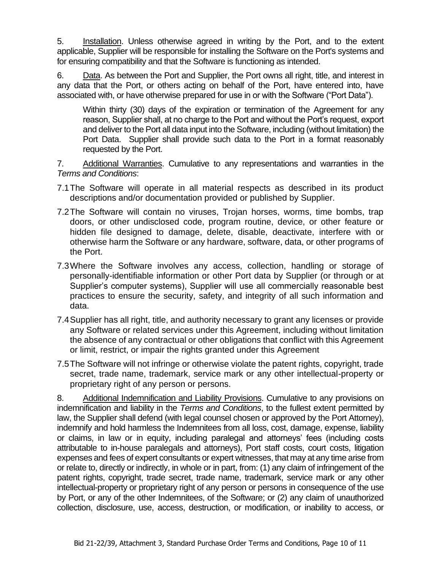5. Installation. Unless otherwise agreed in writing by the Port, and to the extent applicable, Supplier will be responsible for installing the Software on the Port's systems and for ensuring compatibility and that the Software is functioning as intended.

6. Data. As between the Port and Supplier, the Port owns all right, title, and interest in any data that the Port, or others acting on behalf of the Port, have entered into, have associated with, or have otherwise prepared for use in or with the Software ("Port Data").

Within thirty (30) days of the expiration or termination of the Agreement for any reason, Supplier shall, at no charge to the Port and without the Port's request, export and deliver to the Port all data input into the Software, including (without limitation) the Port Data. Supplier shall provide such data to the Port in a format reasonably requested by the Port.

7. Additional Warranties. Cumulative to any representations and warranties in the *Terms and Conditions*:

- 7.1The Software will operate in all material respects as described in its product descriptions and/or documentation provided or published by Supplier.
- 7.2The Software will contain no viruses, Trojan horses, worms, time bombs, trap doors, or other undisclosed code, program routine, device, or other feature or hidden file designed to damage, delete, disable, deactivate, interfere with or otherwise harm the Software or any hardware, software, data, or other programs of the Port.
- 7.3Where the Software involves any access, collection, handling or storage of personally-identifiable information or other Port data by Supplier (or through or at Supplier's computer systems), Supplier will use all commercially reasonable best practices to ensure the security, safety, and integrity of all such information and data.
- 7.4Supplier has all right, title, and authority necessary to grant any licenses or provide any Software or related services under this Agreement, including without limitation the absence of any contractual or other obligations that conflict with this Agreement or limit, restrict, or impair the rights granted under this Agreement
- 7.5The Software will not infringe or otherwise violate the patent rights, copyright, trade secret, trade name, trademark, service mark or any other intellectual-property or proprietary right of any person or persons.

8. Additional Indemnification and Liability Provisions. Cumulative to any provisions on indemnification and liability in the *Terms and Conditions*, to the fullest extent permitted by law, the Supplier shall defend (with legal counsel chosen or approved by the Port Attorney), indemnify and hold harmless the Indemnitees from all loss, cost, damage, expense, liability or claims, in law or in equity, including paralegal and attorneys' fees (including costs attributable to in-house paralegals and attorneys), Port staff costs, court costs, litigation expenses and fees of expert consultants or expert witnesses, that may at any time arise from or relate to, directly or indirectly, in whole or in part, from: (1) any claim of infringement of the patent rights, copyright, trade secret, trade name, trademark, service mark or any other intellectual-property or proprietary right of any person or persons in consequence of the use by Port, or any of the other Indemnitees, of the Software; or (2) any claim of unauthorized collection, disclosure, use, access, destruction, or modification, or inability to access, or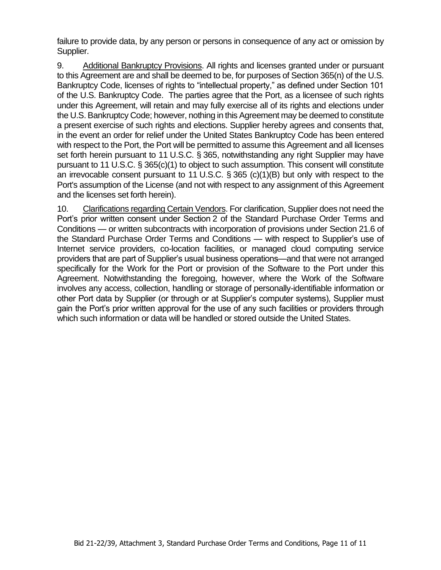failure to provide data, by any person or persons in consequence of any act or omission by Supplier.

9. Additional Bankruptcy Provisions. All rights and licenses granted under or pursuant to this Agreement are and shall be deemed to be, for purposes of Section 365(n) of the U.S. Bankruptcy Code, licenses of rights to "intellectual property," as defined under Section 101 of the U.S. Bankruptcy Code. The parties agree that the Port, as a licensee of such rights under this Agreement, will retain and may fully exercise all of its rights and elections under the U.S. Bankruptcy Code; however, nothing in this Agreement may be deemed to constitute a present exercise of such rights and elections. Supplier hereby agrees and consents that, in the event an order for relief under the United States Bankruptcy Code has been entered with respect to the Port, the Port will be permitted to assume this Agreement and all licenses set forth herein pursuant to 11 U.S.C. § 365, notwithstanding any right Supplier may have pursuant to 11 U.S.C. § 365(c)(1) to object to such assumption. This consent will constitute an irrevocable consent pursuant to 11 U.S.C. § 365 (c)(1)(B) but only with respect to the Port's assumption of the License (and not with respect to any assignment of this Agreement and the licenses set forth herein).

10. Clarifications regarding Certain Vendors. For clarification, Supplier does not need the Port's prior written consent under Section 2 of the Standard Purchase Order Terms and Conditions — or written subcontracts with incorporation of provisions under Section 21.6 of the Standard Purchase Order Terms and Conditions — with respect to Supplier's use of Internet service providers, co-location facilities, or managed cloud computing service providers that are part of Supplier's usual business operations—and that were not arranged specifically for the Work for the Port or provision of the Software to the Port under this Agreement. Notwithstanding the foregoing, however, where the Work of the Software involves any access, collection, handling or storage of personally-identifiable information or other Port data by Supplier (or through or at Supplier's computer systems), Supplier must gain the Port's prior written approval for the use of any such facilities or providers through which such information or data will be handled or stored outside the United States.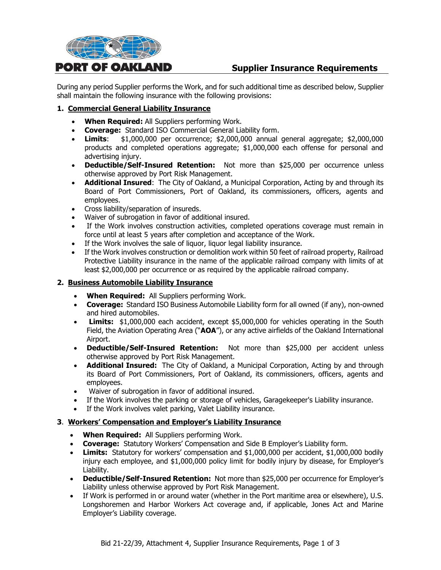

# **Supplier Insurance Requirements**

During any period Supplier performs the Work, and for such additional time as described below, Supplier shall maintain the following insurance with the following provisions:

#### **1. Commercial General Liability Insurance**

- **When Required:** All Suppliers performing Work.
- **Coverage:** Standard ISO Commercial General Liability form.
- **Limits**: \$1,000,000 per occurrence; \$2,000,000 annual general aggregate; \$2,000,000 products and completed operations aggregate; \$1,000,000 each offense for personal and advertising injury.
- **Deductible/Self-Insured Retention:** Not more than \$25,000 per occurrence unless otherwise approved by Port Risk Management.
- **Additional Insured**: The City of Oakland, a Municipal Corporation, Acting by and through its Board of Port Commissioners, Port of Oakland, its commissioners, officers, agents and employees.
- Cross liability/separation of insureds.
- Waiver of subrogation in favor of additional insured.
- If the Work involves construction activities, completed operations coverage must remain in force until at least 5 years after completion and acceptance of the Work.
- If the Work involves the sale of liquor, liquor legal liability insurance.
- If the Work involves construction or demolition work within 50 feet of railroad property, Railroad Protective Liability insurance in the name of the applicable railroad company with limits of at least \$2,000,000 per occurrence or as required by the applicable railroad company.

#### **2. Business Automobile Liability Insurance**

- **When Required:** All Suppliers performing Work.
- **Coverage:** Standard ISO Business Automobile Liability form for all owned (if any), non-owned and hired automobiles.
- **Limits:** \$1,000,000 each accident, except \$5,000,000 for vehicles operating in the South Field, the Aviation Operating Area ("**AOA**"), or any active airfields of the Oakland International Airport.
- **Deductible/Self-Insured Retention:** Not more than \$25,000 per accident unless otherwise approved by Port Risk Management.
- **Additional Insured:** The City of Oakland, a Municipal Corporation, Acting by and through its Board of Port Commissioners, Port of Oakland, its commissioners, officers, agents and employees.
- Waiver of subrogation in favor of additional insured.
- If the Work involves the parking or storage of vehicles, Garagekeeper's Liability insurance.
- If the Work involves valet parking, Valet Liability insurance.

#### **3**. **Workers' Compensation and Employer's Liability Insurance**

- **When Required:** All Suppliers performing Work.
- **Coverage:** Statutory Workers' Compensation and Side B Employer's Liability form.
- **Limits:** Statutory for workers' compensation and \$1,000,000 per accident, \$1,000,000 bodily injury each employee, and \$1,000,000 policy limit for bodily injury by disease, for Employer's Liability.
- **Deductible/Self-Insured Retention:** Not more than \$25,000 per occurrence for Employer's Liability unless otherwise approved by Port Risk Management.
- If Work is performed in or around water (whether in the Port maritime area or elsewhere), U.S. Longshoremen and Harbor Workers Act coverage and, if applicable, Jones Act and Marine Employer's Liability coverage.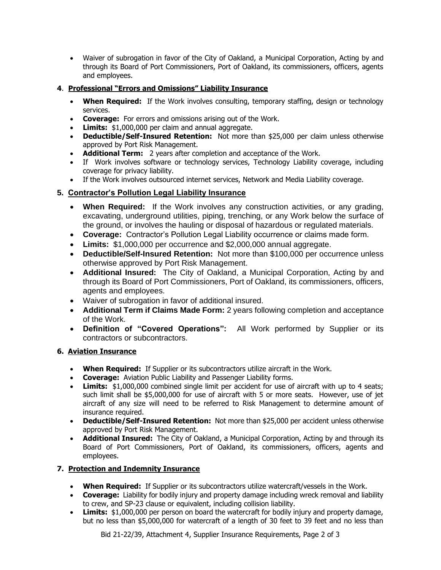• Waiver of subrogation in favor of the City of Oakland, a Municipal Corporation, Acting by and through its Board of Port Commissioners, Port of Oakland, its commissioners, officers, agents and employees.

#### **4**. **Professional "Errors and Omissions" Liability Insurance**

- **When Required:** If the Work involves consulting, temporary staffing, design or technology services.
- **Coverage:** For errors and omissions arising out of the Work.
- **Limits:** \$1,000,000 per claim and annual aggregate.
- **Deductible/Self-Insured Retention:** Not more than \$25,000 per claim unless otherwise approved by Port Risk Management.
- **Additional Term:** 2 years after completion and acceptance of the Work.
- If Work involves software or technology services, Technology Liability coverage, including coverage for privacy liability.
- If the Work involves outsourced internet services, Network and Media Liability coverage.

# **5. Contractor's Pollution Legal Liability Insurance**

- **When Required:** If the Work involves any construction activities, or any grading, excavating, underground utilities, piping, trenching, or any Work below the surface of the ground, or involves the hauling or disposal of hazardous or regulated materials.
- **Coverage:** Contractor's Pollution Legal Liability occurrence or claims made form.
- **Limits:** \$1,000,000 per occurrence and \$2,000,000 annual aggregate.
- **Deductible/Self-Insured Retention:** Not more than \$100,000 per occurrence unless otherwise approved by Port Risk Management.
- **Additional Insured:** The City of Oakland, a Municipal Corporation, Acting by and through its Board of Port Commissioners, Port of Oakland, its commissioners, officers, agents and employees.
- Waiver of subrogation in favor of additional insured.
- **Additional Term if Claims Made Form:** 2 years following completion and acceptance of the Work.
- **Definition of "Covered Operations":** All Work performed by Supplier or its contractors or subcontractors.

#### **6. Aviation Insurance**

- **When Required:** If Supplier or its subcontractors utilize aircraft in the Work.
- **Coverage:** Aviation Public Liability and Passenger Liability forms.
- **Limits:** \$1,000,000 combined single limit per accident for use of aircraft with up to 4 seats: such limit shall be \$5,000,000 for use of aircraft with 5 or more seats. However, use of jet aircraft of any size will need to be referred to Risk Management to determine amount of insurance required.
- **Deductible/Self-Insured Retention:** Not more than \$25,000 per accident unless otherwise approved by Port Risk Management.
- **Additional Insured:** The City of Oakland, a Municipal Corporation, Acting by and through its Board of Port Commissioners, Port of Oakland, its commissioners, officers, agents and employees.

#### **7. Protection and Indemnity Insurance**

- **When Required:** If Supplier or its subcontractors utilize watercraft/vessels in the Work.
- **Coverage:** Liability for bodily injury and property damage including wreck removal and liability to crew, and SP-23 clause or equivalent, including collision liability.
- **Limits:** \$1,000,000 per person on board the watercraft for bodily injury and property damage, but no less than \$5,000,000 for watercraft of a length of 30 feet to 39 feet and no less than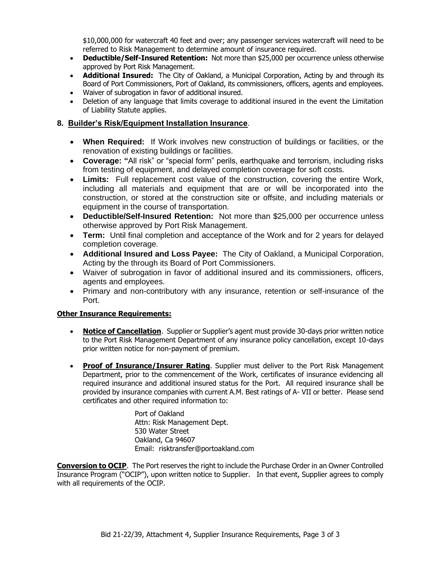\$10,000,000 for watercraft 40 feet and over; any passenger services watercraft will need to be referred to Risk Management to determine amount of insurance required.

- **Deductible/Self-Insured Retention:** Not more than \$25,000 per occurrence unless otherwise approved by Port Risk Management.
- **Additional Insured:** The City of Oakland, a Municipal Corporation, Acting by and through its Board of Port Commissioners, Port of Oakland, its commissioners, officers, agents and employees.
- Waiver of subrogation in favor of additional insured.
- Deletion of any language that limits coverage to additional insured in the event the Limitation of Liability Statute applies.

#### **8. Builder's Risk/Equipment Installation Insurance**.

- **When Required:** If Work involves new construction of buildings or facilities, or the renovation of existing buildings or facilities.
- **Coverage: "**All risk" or "special form" perils, earthquake and terrorism, including risks from testing of equipment, and delayed completion coverage for soft costs.
- **Limits:** Full replacement cost value of the construction, covering the entire Work, including all materials and equipment that are or will be incorporated into the construction, or stored at the construction site or offsite, and including materials or equipment in the course of transportation.
- **Deductible/Self-Insured Retention:** Not more than \$25,000 per occurrence unless otherwise approved by Port Risk Management.
- **Term:** Until final completion and acceptance of the Work and for 2 years for delayed completion coverage.
- **Additional Insured and Loss Payee:** The City of Oakland, a Municipal Corporation, Acting by the through its Board of Port Commissioners.
- Waiver of subrogation in favor of additional insured and its commissioners, officers, agents and employees.
- Primary and non-contributory with any insurance, retention or self-insurance of the Port.

#### **Other Insurance Requirements:**

- **Notice of Cancellation**. Supplier or Supplier's agent must provide 30-days prior written notice to the Port Risk Management Department of any insurance policy cancellation, except 10-days prior written notice for non-payment of premium.
- **Proof of Insurance/Insurer Rating**. Supplier must deliver to the Port Risk Management Department, prior to the commencement of the Work, certificates of insurance evidencing all required insurance and additional insured status for the Port. All required insurance shall be provided by insurance companies with current A.M. Best ratings of A- VII or better. Please send certificates and other required information to:

Port of Oakland Attn: Risk Management Dept. 530 Water Street Oakland, Ca 94607 Email: risktransfer@portoakland.com

**Conversion to OCIP**. The Port reserves the right to include the Purchase Order in an Owner Controlled Insurance Program ("OCIP"), upon written notice to Supplier. In that event, Supplier agrees to comply with all requirements of the OCIP.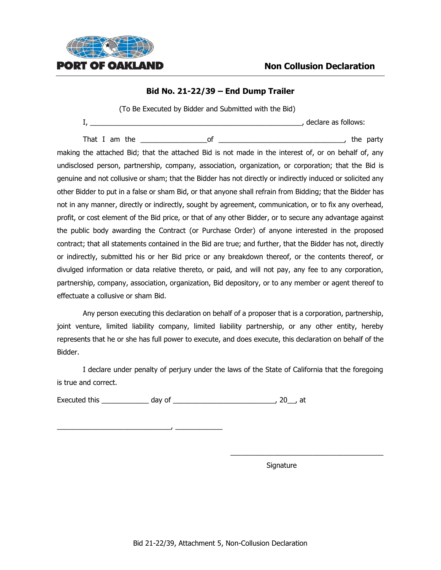

#### **Bid No. 21-22/39 – End Dump Trailer**

(To Be Executed by Bidder and Submitted with the Bid)

I, \_\_\_\_\_\_\_\_\_\_\_\_\_\_\_\_\_\_\_\_\_\_\_\_\_\_\_\_\_\_\_\_\_\_\_\_\_\_\_\_\_\_\_\_\_\_\_\_\_\_\_\_\_\_, declare as follows:

That I am the the set of the set of the party of the party of the party making the attached Bid; that the attached Bid is not made in the interest of, or on behalf of, any undisclosed person, partnership, company, association, organization, or corporation; that the Bid is genuine and not collusive or sham; that the Bidder has not directly or indirectly induced or solicited any other Bidder to put in a false or sham Bid, or that anyone shall refrain from Bidding; that the Bidder has not in any manner, directly or indirectly, sought by agreement, communication, or to fix any overhead, profit, or cost element of the Bid price, or that of any other Bidder, or to secure any advantage against the public body awarding the Contract (or Purchase Order) of anyone interested in the proposed contract; that all statements contained in the Bid are true; and further, that the Bidder has not, directly or indirectly, submitted his or her Bid price or any breakdown thereof, or the contents thereof, or divulged information or data relative thereto, or paid, and will not pay, any fee to any corporation, partnership, company, association, organization, Bid depository, or to any member or agent thereof to effectuate a collusive or sham Bid.

Any person executing this declaration on behalf of a proposer that is a corporation, partnership, joint venture, limited liability company, limited liability partnership, or any other entity, hereby represents that he or she has full power to execute, and does execute, this declaration on behalf of the Bidder.

I declare under penalty of perjury under the laws of the State of California that the foregoing is true and correct.

Executed this \_\_\_\_\_\_\_\_\_\_\_\_ day of \_\_\_\_\_\_\_\_\_\_\_\_\_\_\_\_\_\_\_\_\_\_\_\_\_\_, 20\_\_, at

\_\_\_\_\_\_\_\_\_\_\_\_\_\_\_\_\_\_\_\_\_\_\_\_\_\_\_\_\_, \_\_\_\_\_\_\_\_\_\_\_\_

Signature

\_\_\_\_\_\_\_\_\_\_\_\_\_\_\_\_\_\_\_\_\_\_\_\_\_\_\_\_\_\_\_\_\_\_\_\_\_\_\_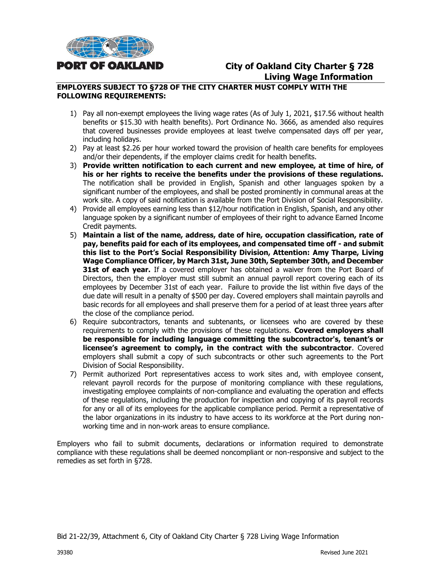

# **City of Oakland City Charter § 728 Living Wage Information**

#### **EMPLOYERS SUBJECT TO §728 OF THE CITY CHARTER MUST COMPLY WITH THE FOLLOWING REQUIREMENTS:**

- 1) Pay all non-exempt employees the living wage rates (As of July 1, 2021, \$17.56 without health benefits or \$15.30 with health benefits). Port Ordinance No. 3666, as amended also requires that covered businesses provide employees at least twelve compensated days off per year, including holidays.
- 2) Pay at least \$2.26 per hour worked toward the provision of health care benefits for employees and/or their dependents, if the employer claims credit for health benefits.
- 3) **Provide written notification to each current and new employee, at time of hire, of his or her rights to receive the benefits under the provisions of these regulations.** The notification shall be provided in English, Spanish and other languages spoken by a significant number of the employees, and shall be posted prominently in communal areas at the work site. A copy of said notification is available from the Port Division of Social Responsibility.
- 4) Provide all employees earning less than \$12/hour notification in English, Spanish, and any other language spoken by a significant number of employees of their right to advance Earned Income Credit payments.
- 5) **Maintain a list of the name, address, date of hire, occupation classification, rate of pay, benefits paid for each of its employees, and compensated time off - and submit this list to the Port's Social Responsibility Division, Attention: Amy Tharpe, Living Wage Compliance Officer, by March 31st, June 30th, September 30th, and December 31st of each year.** If a covered employer has obtained a waiver from the Port Board of Directors, then the employer must still submit an annual payroll report covering each of its employees by December 31st of each year. Failure to provide the list within five days of the due date will result in a penalty of \$500 per day. Covered employers shall maintain payrolls and basic records for all employees and shall preserve them for a period of at least three years after the close of the compliance period.
- 6) Require subcontractors, tenants and subtenants, or licensees who are covered by these requirements to comply with the provisions of these regulations. **Covered employers shall be responsible for including language committing the subcontractor's, tenant's or licensee's agreement to comply, in the contract with the subcontractor**. Covered employers shall submit a copy of such subcontracts or other such agreements to the Port Division of Social Responsibility.
- 7) Permit authorized Port representatives access to work sites and, with employee consent, relevant payroll records for the purpose of monitoring compliance with these regulations, investigating employee complaints of non-compliance and evaluating the operation and effects of these regulations, including the production for inspection and copying of its payroll records for any or all of its employees for the applicable compliance period. Permit a representative of the labor organizations in its industry to have access to its workforce at the Port during nonworking time and in non-work areas to ensure compliance.

Employers who fail to submit documents, declarations or information required to demonstrate compliance with these regulations shall be deemed noncompliant or non-responsive and subject to the remedies as set forth in §728.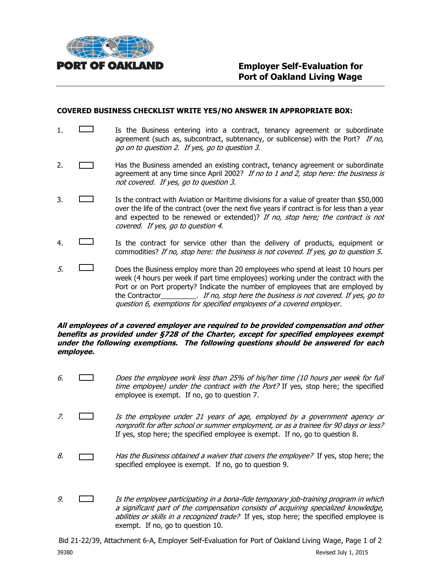

#### **COVERED BUSINESS CHECKLIST WRITE YES/NO ANSWER IN APPROPRIATE BOX:**

- 1.  $\Box$  Is the Business entering into a contract, tenancy agreement or subordinate agreement (such as, subcontract, subtenancy, or sublicense) with the Port? If no, go on to question 2. If yes, go to question 3.
- 2. **Has the Business amended an existing contract, tenancy agreement or subordinate** agreement at any time since April 2002? If no to 1 and 2, stop here: the business is not covered. If yes, go to question 3.
- 3. Is the contract with Aviation or Maritime divisions for a value of greater than \$50,000 over the life of the contract (over the next five years if contract is for less than a year and expected to be renewed or extended)? If no, stop here; the contract is not covered. If yes, go to question 4.
- 4. Is the contract for service other than the delivery of products, equipment or commodities? If no, stop here: the business is not covered. If yes, go to question 5.
- $5.$  Does the Business employ more than 20 employees who spend at least 10 hours per week (4 hours per week if part time employees) working under the contract with the Port or on Port property? Indicate the number of employees that are employed by the Contractor\_\_\_\_\_\_\_\_\_. If no, stop here the business is not covered. If yes, go to question 6, exemptions for specified employees of a covered employer.

#### **All employees of a covered employer are required to be provided compensation and other benefits as provided under §728 of the Charter, except for specified employees exempt under the following exemptions. The following questions should be answered for each employee.**

- 6. Does the employee work less than 25% of his/her time (10 hours per week for full time employee) under the contract with the Port? If yes, stop here; the specified employee is exempt. If no, go to question 7.
- 7. Is the employee under 21 years of age, employed by a government agency or nonprofit for after school or summer employment, or as a trainee for 90 days or less? If yes, stop here; the specified employee is exempt. If no, go to question 8.
- 8.  $\Box$  Has the Business obtained a waiver that covers the employee? If yes, stop here; the specified employee is exempt. If no, go to question 9.
- 9.  $\Box$  Is the employee participating in a bona-fide temporary job-training program in which a significant part of the compensation consists of acquiring specialized knowledge, abilities or skills in a recognized trade? If yes, stop here; the specified employee is exempt. If no, go to question 10.

Bid 21-22/39, Attachment 6-A, Employer Self-Evaluation for Port of Oakland Living Wage, Page 1 of 2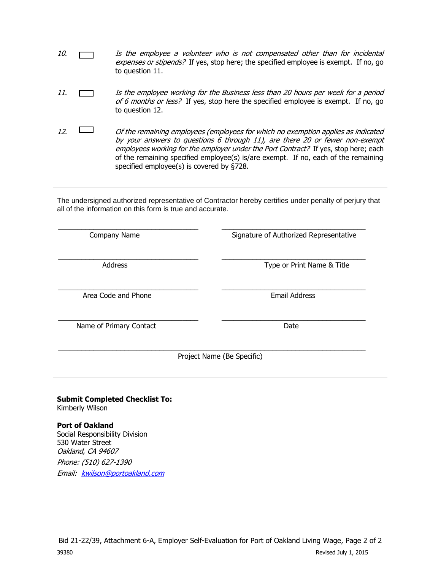- 10.  $\Box$  Is the employee a volunteer who is not compensated other than for incidental expenses or stipends? If yes, stop here; the specified employee is exempt. If no, go to question 11.
- 11. Is the employee working for the Business less than 20 hours per week for a period of 6 months or less? If yes, stop here the specified employee is exempt. If no, go to question 12.
- 12.  $\Box$  Of the remaining employees (employees for which no exemption applies as indicated by your answers to questions 6 through 11), are there 20 or fewer non-exempt employees working for the employer under the Port Contract? If yes, stop here; each of the remaining specified employee(s) is/are exempt. If no, each of the remaining specified employee(s) is covered by §728.

The undersigned authorized representative of Contractor hereby certifies under penalty of perjury that all of the information on this form is true and accurate.

| Company Name            | Signature of Authorized Representative |
|-------------------------|----------------------------------------|
| <b>Address</b>          | Type or Print Name & Title             |
| Area Code and Phone     | <b>Email Address</b>                   |
| Name of Primary Contact | Date                                   |
|                         | Project Name (Be Specific)             |

# **Submit Completed Checklist To:**

Kimberly Wilson

#### **Port of Oakland**

Social Responsibility Division 530 Water Street Oakland, CA 94607 Phone: (510) 627-1390 Email: [kwilson@portoakland.com](mailto:kwilson@portoakland.com)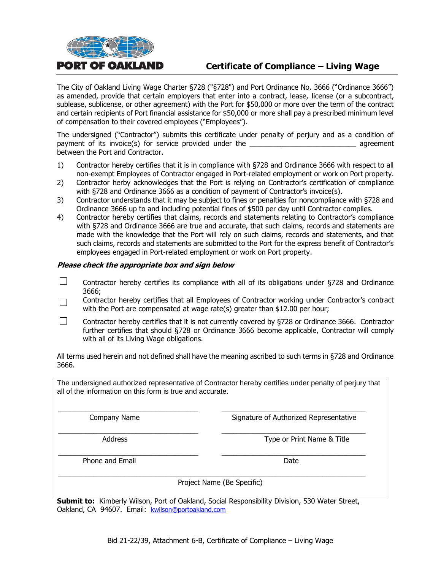

# **Certificate of Compliance – Living Wage**

The City of Oakland Living Wage Charter §728 ("§728") and Port Ordinance No. 3666 ("Ordinance 3666") as amended, provide that certain employers that enter into a contract, lease, license (or a subcontract, sublease, sublicense, or other agreement) with the Port for \$50,000 or more over the term of the contract and certain recipients of Port financial assistance for \$50,000 or more shall pay a prescribed minimum level of compensation to their covered employees ("Employees").

The undersigned ("Contractor") submits this certificate under penalty of perjury and as a condition of payment of its invoice(s) for service provided under the **Example 2** agreement between the Port and Contractor.

- 1) Contractor hereby certifies that it is in compliance with §728 and Ordinance 3666 with respect to all non-exempt Employees of Contractor engaged in Port-related employment or work on Port property.
- 2) Contractor herby acknowledges that the Port is relying on Contractor's certification of compliance with §728 and Ordinance 3666 as a condition of payment of Contractor's invoice(s).
- 3) Contractor understands that it may be subject to fines or penalties for noncompliance with §728 and Ordinance 3666 up to and including potential fines of \$500 per day until Contractor complies.
- 4) Contractor hereby certifies that claims, records and statements relating to Contractor's compliance with §728 and Ordinance 3666 are true and accurate, that such claims, records and statements are made with the knowledge that the Port will rely on such claims, records and statements, and that such claims, records and statements are submitted to the Port for the express benefit of Contractor's employees engaged in Port-related employment or work on Port property.

#### **Please check the appropriate box and sign below**

- П Contractor hereby certifies its compliance with all of its obligations under §728 and Ordinance 3666;
- Contractor hereby certifies that all Employees of Contractor working under Contractor's contract  $\Box$ with the Port are compensated at wage rate(s) greater than \$12.00 per hour;
- П Contractor hereby certifies that it is not currently covered by §728 or Ordinance 3666. Contractor further certifies that should §728 or Ordinance 3666 become applicable, Contractor will comply with all of its Living Wage obligations.

All terms used herein and not defined shall have the meaning ascribed to such terms in §728 and Ordinance 3666.

The undersigned authorized representative of Contractor hereby certifies under penalty of perjury that all of the information on this form is true and accurate.

\_\_\_\_\_\_\_\_\_\_\_\_\_\_\_\_\_\_\_\_\_\_\_\_\_\_\_\_\_\_\_\_\_\_\_\_ \_\_\_\_\_\_\_\_\_\_\_\_\_\_\_\_\_\_\_\_\_\_\_\_\_\_\_\_\_\_\_\_\_\_\_\_\_ Company Name **Signature of Authorized Representative** 

\_\_\_\_\_\_\_\_\_\_\_\_\_\_\_\_\_\_\_\_\_\_\_\_\_\_\_\_\_\_\_\_\_\_\_\_ \_\_\_\_\_\_\_\_\_\_\_\_\_\_\_\_\_\_\_\_\_\_\_\_\_\_\_\_\_\_\_\_\_\_\_\_\_ Address **Address** Type or Print Name & Title

Phone and Email Date and Email Date Date and Email Date Date Date Date Date

Project Name (Be Specific)

**Submit to:** Kimberly Wilson, Port of Oakland, Social Responsibility Division, 530 Water Street, Oakland, CA 94607. Email: [kwilson@portoakland.com](mailto:kwilson@portoakland.com)

\_\_\_\_\_\_\_\_\_\_\_\_\_\_\_\_\_\_\_\_\_\_\_\_\_\_\_\_\_\_\_\_\_\_\_\_ \_\_\_\_\_\_\_\_\_\_\_\_\_\_\_\_\_\_\_\_\_\_\_\_\_\_\_\_\_\_\_\_\_\_\_\_\_

\_\_\_\_\_\_\_\_\_\_\_\_\_\_\_\_\_\_\_\_\_\_\_\_\_\_\_\_\_\_\_\_\_\_\_\_\_\_\_\_\_\_\_\_\_\_\_\_\_\_\_\_\_\_\_\_\_\_\_\_\_\_\_\_\_\_\_\_\_\_\_\_\_\_\_\_\_\_\_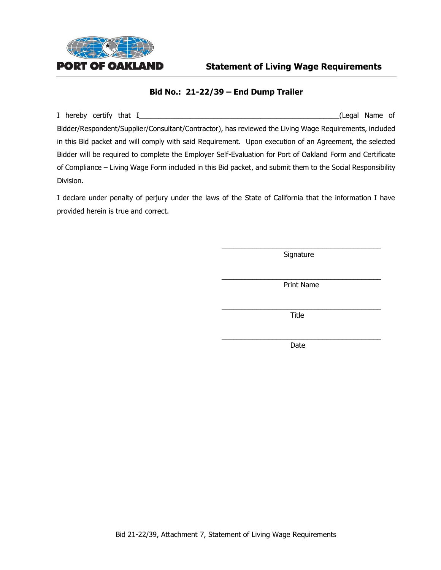

#### **Statement of Living Wage Requirements**

#### **Bid No.: 21-22/39 – End Dump Trailer**

I hereby certify that I\_\_\_\_\_\_\_\_\_\_\_\_\_\_\_\_\_\_\_\_\_\_\_\_\_\_\_\_\_\_\_\_\_\_\_\_\_\_\_\_\_\_\_\_\_\_\_\_\_\_\_(Legal Name of Bidder/Respondent/Supplier/Consultant/Contractor), has reviewed the Living Wage Requirements, included in this Bid packet and will comply with said Requirement. Upon execution of an Agreement, the selected Bidder will be required to complete the Employer Self-Evaluation for Port of Oakland Form and Certificate of Compliance – Living Wage Form included in this Bid packet, and submit them to the Social Responsibility Division.

I declare under penalty of perjury under the laws of the State of California that the information I have provided herein is true and correct.

> \_\_\_\_\_\_\_\_\_\_\_\_\_\_\_\_\_\_\_\_\_\_\_\_\_\_\_\_\_\_\_\_\_\_\_\_\_\_\_\_\_ **Signature**

> \_\_\_\_\_\_\_\_\_\_\_\_\_\_\_\_\_\_\_\_\_\_\_\_\_\_\_\_\_\_\_\_\_\_\_\_\_\_\_\_\_ Print Name

> \_\_\_\_\_\_\_\_\_\_\_\_\_\_\_\_\_\_\_\_\_\_\_\_\_\_\_\_\_\_\_\_\_\_\_\_\_\_\_\_\_ Title

> \_\_\_\_\_\_\_\_\_\_\_\_\_\_\_\_\_\_\_\_\_\_\_\_\_\_\_\_\_\_\_\_\_\_\_\_\_\_\_\_\_ Date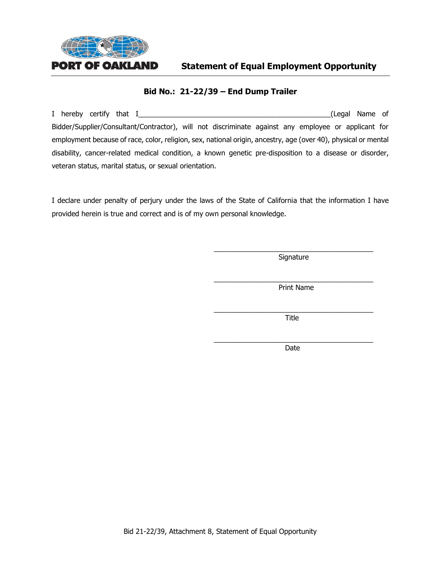

**Statement of Equal Employment Opportunity**

#### **Bid No.: 21-22/39 – End Dump Trailer**

I hereby certify that I\_\_\_\_\_\_\_\_\_\_\_\_\_\_\_\_\_\_\_\_\_\_\_\_\_\_\_\_\_\_\_\_\_\_\_\_\_\_\_\_\_\_\_\_\_\_\_\_\_(Legal Name of Bidder/Supplier/Consultant/Contractor), will not discriminate against any employee or applicant for employment because of race, color, religion, sex, national origin, ancestry, age (over 40), physical or mental disability, cancer-related medical condition, a known genetic pre-disposition to a disease or disorder, veteran status, marital status, or sexual orientation.

I declare under penalty of perjury under the laws of the State of California that the information I have provided herein is true and correct and is of my own personal knowledge.

> \_\_\_\_\_\_\_\_\_\_\_\_\_\_\_\_\_\_\_\_\_\_\_\_\_\_\_\_\_\_\_\_\_\_\_\_\_\_\_\_\_ Signature

> \_\_\_\_\_\_\_\_\_\_\_\_\_\_\_\_\_\_\_\_\_\_\_\_\_\_\_\_\_\_\_\_\_\_\_\_\_\_\_\_\_ Print Name

> \_\_\_\_\_\_\_\_\_\_\_\_\_\_\_\_\_\_\_\_\_\_\_\_\_\_\_\_\_\_\_\_\_\_\_\_\_\_\_\_\_ Title

> \_\_\_\_\_\_\_\_\_\_\_\_\_\_\_\_\_\_\_\_\_\_\_\_\_\_\_\_\_\_\_\_\_\_\_\_\_\_\_\_\_ Date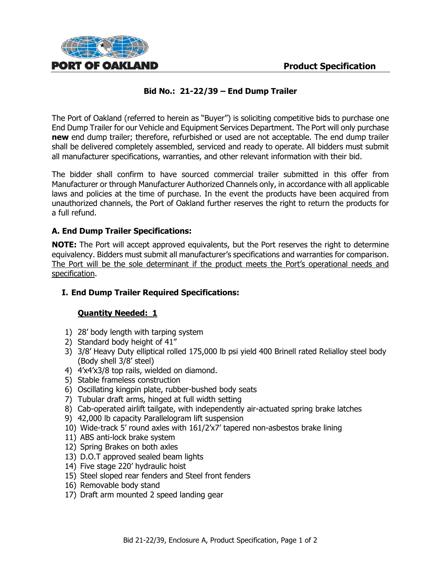

# **Bid No.: 21-22/39 – End Dump Trailer**

The Port of Oakland (referred to herein as "Buyer") is soliciting competitive bids to purchase one End Dump Trailer for our Vehicle and Equipment Services Department. The Port will only purchase **new** end dump trailer; therefore, refurbished or used are not acceptable. The end dump trailer shall be delivered completely assembled, serviced and ready to operate. All bidders must submit all manufacturer specifications, warranties, and other relevant information with their bid.

The bidder shall confirm to have sourced commercial trailer submitted in this offer from Manufacturer or through Manufacturer Authorized Channels only, in accordance with all applicable laws and policies at the time of purchase. In the event the products have been acquired from unauthorized channels, the Port of Oakland further reserves the right to return the products for a full refund.

### **A. End Dump Trailer Specifications:**

**NOTE:** The Port will accept approved equivalents, but the Port reserves the right to determine equivalency. Bidders must submit all manufacturer's specifications and warranties for comparison. The Port will be the sole determinant if the product meets the Port's operational needs and specification.

### **I. End Dump Trailer Required Specifications:**

### **Quantity Needed: 1**

- 1) 28' body length with tarping system
- 2) Standard body height of 41"
- 3) 3/8' Heavy Duty elliptical rolled 175,000 lb psi yield 400 Brinell rated Relialloy steel body (Body shell 3/8' steel)
- 4) 4'x4'x3/8 top rails, wielded on diamond.
- 5) Stable frameless construction
- 6) Oscillating kingpin plate, rubber-bushed body seats
- 7) Tubular draft arms, hinged at full width setting
- 8) Cab-operated airlift tailgate, with independently air-actuated spring brake latches
- 9) 42,000 lb capacity Parallelogram lift suspension
- 10) Wide-track 5' round axles with 161/2'x7' tapered non-asbestos brake lining
- 11) ABS anti-lock brake system
- 12) Spring Brakes on both axles
- 13) D.O.T approved sealed beam lights
- 14) Five stage 220' hydraulic hoist
- 15) Steel sloped rear fenders and Steel front fenders
- 16) Removable body stand
- 17) Draft arm mounted 2 speed landing gear